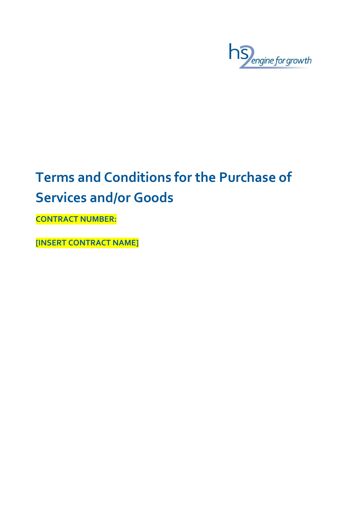

# **Terms and Conditions for the Purchase of Services and/or Goods**

**CONTRACT NUMBER:**

**[INSERT CONTRACT NAME]**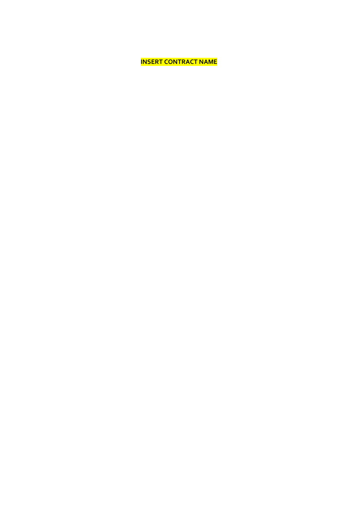**INSERT CONTRACT NAME**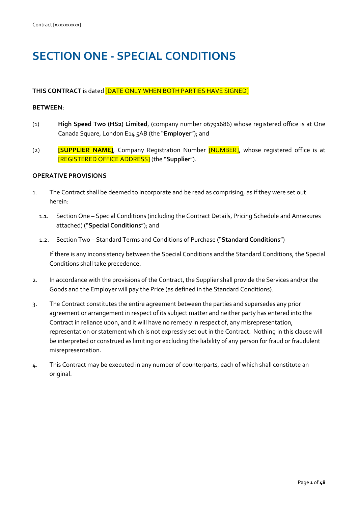# **SECTION ONE - SPECIAL CONDITIONS**

#### **THIS CONTRACT** is dated [DATE ONLY WHEN BOTH PARTIES HAVE SIGNED]

#### **BETWEEN**:

- (1) **High Speed Two (HS2) Limited**, (company number 06791686) whose registered office is at One Canada Square, London E14 5AB (the "**Employer**"); and
- (2) **[SUPPLIER NAME]**, Company Registration Number [NUMBER], whose registered office is at [REGISTERED OFFICE ADDRESS] (the "**Supplier**").

#### **OPERATIVE PROVISIONS**

- 1. The Contract shall be deemed to incorporate and be read as comprising, as if they were set out herein:
	- 1.1. Section One Special Conditions (including the Contract Details, Pricing Schedule and Annexures attached) ("**Special Conditions**"); and
	- 1.2. Section Two Standard Terms and Conditions of Purchase ("**Standard Conditions**")

If there is any inconsistency between the Special Conditions and the Standard Conditions, the Special Conditions shall take precedence.

- 2. In accordance with the provisions of the Contract, the Supplier shall provide the Services and/or the Goods and the Employer will pay the Price (as defined in the Standard Conditions).
- 3. The Contract constitutes the entire agreement between the parties and supersedes any prior agreement or arrangement in respect of its subject matter and neither party has entered into the Contract in reliance upon, and it will have no remedy in respect of, any misrepresentation, representation or statement which is not expressly set out in the Contract. Nothing in this clause will be interpreted or construed as limiting or excluding the liability of any person for fraud or fraudulent misrepresentation.
- 4. This Contract may be executed in any number of counterparts, each of which shall constitute an original.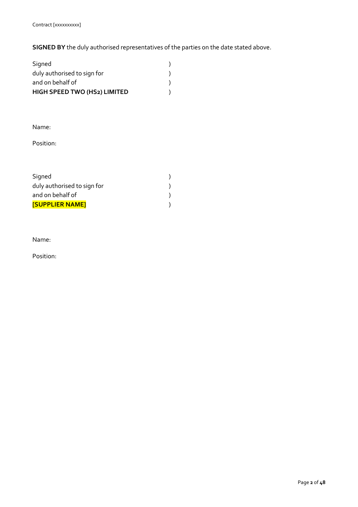**SIGNED BY** the duly authorised representatives of the parties on the date stated above.

| Signed                              |  |
|-------------------------------------|--|
| duly authorised to sign for         |  |
| and on behalf of                    |  |
| <b>HIGH SPEED TWO (HS2) LIMITED</b> |  |

Name:

Position:

| <b>[SUPPLIER NAME]</b>      |  |
|-----------------------------|--|
| and on behalf of            |  |
| duly authorised to sign for |  |
| Signed                      |  |

Name:

Position: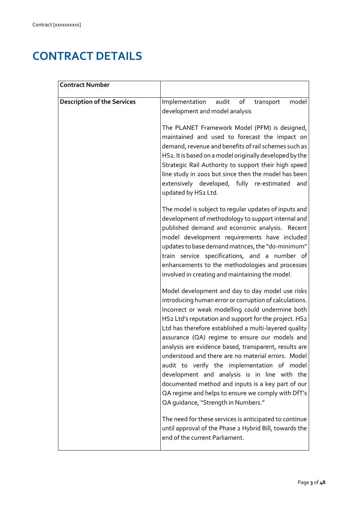# **CONTRACT DETAILS**

| <b>Contract Number</b>             |                                                                                                                                                                                                                                                                                                                                                                                                                                                                                                                                                                                                                                                                                                                                                              |
|------------------------------------|--------------------------------------------------------------------------------------------------------------------------------------------------------------------------------------------------------------------------------------------------------------------------------------------------------------------------------------------------------------------------------------------------------------------------------------------------------------------------------------------------------------------------------------------------------------------------------------------------------------------------------------------------------------------------------------------------------------------------------------------------------------|
| <b>Description of the Services</b> | of<br>Implementation<br>audit<br>transport<br>model<br>development and model analysis                                                                                                                                                                                                                                                                                                                                                                                                                                                                                                                                                                                                                                                                        |
|                                    | The PLANET Framework Model (PFM) is designed,<br>maintained and used to forecast the impact on<br>demand, revenue and benefits of rail schemes such as<br>HS2. It is based on a model originally developed by the<br>Strategic Rail Authority to support their high speed<br>line study in 2001 but since then the model has been<br>extensively developed, fully re-estimated<br>and<br>updated by HS2 Ltd.                                                                                                                                                                                                                                                                                                                                                 |
|                                    | The model is subject to regular updates of inputs and<br>development of methodology to support internal and<br>published demand and economic analysis. Recent<br>model development requirements have included<br>updates to base demand matrices, the "do-minimum"<br>train service specifications, and a number of<br>enhancements to the methodologies and processes<br>involved in creating and maintaining the model.                                                                                                                                                                                                                                                                                                                                    |
|                                    | Model development and day to day model use risks<br>introducing human error or corruption of calculations.<br>Incorrect or weak modelling could undermine both<br>HS2 Ltd's reputation and support for the project. HS2<br>Ltd has therefore established a multi-layered quality<br>assurance (QA) regime to ensure our models and<br>analysis are evidence based, transparent, results are<br>understood and there are no material errors. Model<br>audit to verify the implementation of model<br>development and analysis is in line with the<br>documented method and inputs is a key part of our<br>QA regime and helps to ensure we comply with DfT's<br>QA guidance, "Strength in Numbers."<br>The need for these services is anticipated to continue |
|                                    | until approval of the Phase 2 Hybrid Bill, towards the<br>end of the current Parliament.                                                                                                                                                                                                                                                                                                                                                                                                                                                                                                                                                                                                                                                                     |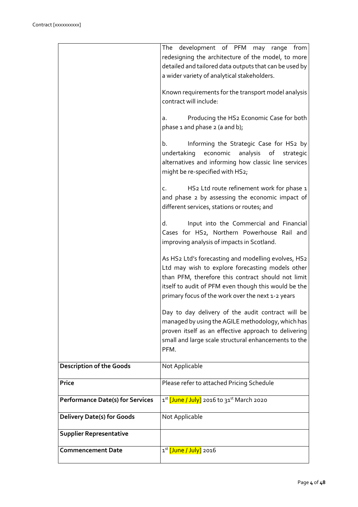|                                         | The development of PFM may range from                                                                                                                                                                                                                                      |
|-----------------------------------------|----------------------------------------------------------------------------------------------------------------------------------------------------------------------------------------------------------------------------------------------------------------------------|
|                                         | redesigning the architecture of the model, to more                                                                                                                                                                                                                         |
|                                         | detailed and tailored data outputs that can be used by<br>a wider variety of analytical stakeholders.                                                                                                                                                                      |
|                                         |                                                                                                                                                                                                                                                                            |
|                                         | Known requirements for the transport model analysis                                                                                                                                                                                                                        |
|                                         | contract will include:                                                                                                                                                                                                                                                     |
|                                         | Producing the HS2 Economic Case for both<br>a.<br>phase 1 and phase 2 (a and b);                                                                                                                                                                                           |
|                                         | Informing the Strategic Case for HS2 by<br>b.<br>undertaking economic<br>analysis of<br>strategic<br>alternatives and informing how classic line services<br>might be re-specified with HS2;                                                                               |
|                                         | HS2 Ltd route refinement work for phase 1<br>c.<br>and phase 2 by assessing the economic impact of<br>different services, stations or routes; and                                                                                                                          |
|                                         | Input into the Commercial and Financial<br>d.<br>Cases for HS2, Northern Powerhouse Rail and<br>improving analysis of impacts in Scotland.                                                                                                                                 |
|                                         | As HS2 Ltd's forecasting and modelling evolves, HS2<br>Ltd may wish to explore forecasting models other<br>than PFM, therefore this contract should not limit<br>itself to audit of PFM even though this would be the<br>primary focus of the work over the next 1-2 years |
|                                         | Day to day delivery of the audit contract will be<br>managed by using the AGILE methodology, which has<br>proven itself as an effective approach to delivering<br>small and large scale structural enhancements to the<br>PFM.                                             |
| <b>Description of the Goods</b>         | Not Applicable                                                                                                                                                                                                                                                             |
| <b>Price</b>                            | Please refer to attached Pricing Schedule                                                                                                                                                                                                                                  |
| <b>Performance Date(s) for Services</b> | 1st [June / July] 2016 to 31st March 2020                                                                                                                                                                                                                                  |
| <b>Delivery Date(s) for Goods</b>       | Not Applicable                                                                                                                                                                                                                                                             |
| <b>Supplier Representative</b>          |                                                                                                                                                                                                                                                                            |
| <b>Commencement Date</b>                | 1 <sup>st</sup> [June / July] 2016                                                                                                                                                                                                                                         |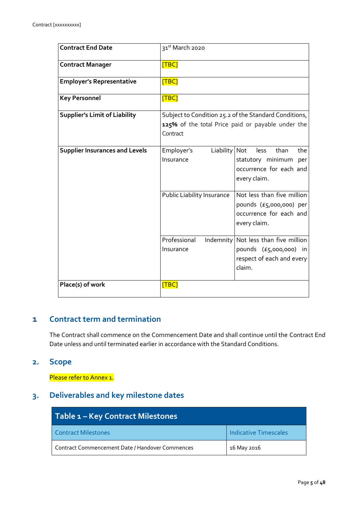| <b>Contract End Date</b>              | 31 <sup>st</sup> March 2020              |                                                                                                            |
|---------------------------------------|------------------------------------------|------------------------------------------------------------------------------------------------------------|
| <b>Contract Manager</b>               | [TBC]                                    |                                                                                                            |
| <b>Employer's Representative</b>      | [TBC]                                    |                                                                                                            |
| <b>Key Personnel</b>                  | [TBC]                                    |                                                                                                            |
| <b>Supplier's Limit of Liability</b>  | Contract                                 | Subject to Condition 25.2 of the Standard Conditions,<br>125% of the total Price paid or payable under the |
| <b>Supplier Insurances and Levels</b> | Employer's<br>Liability Not<br>Insurance | than<br>the<br>less<br>statutory minimum<br>per<br>occurrence for each and<br>every claim.                 |
|                                       | <b>Public Liability Insurance</b>        | Not less than five million<br>pounds (£5,000,000) per<br>occurrence for each and<br>every claim.           |
|                                       | Professional<br>Insurance                | Indemnity Not less than five million<br>pounds (£5,000,000) in<br>respect of each and every<br>claim.      |
| Place(s) of work                      | [TBC]                                    |                                                                                                            |

# **1 Contract term and termination**

The Contract shall commence on the Commencement Date and shall continue until the Contract End Date unless and until terminated earlier in accordance with the Standard Conditions.

# **2. Scope**

Please refer to Annex 1.

# **3. Deliverables and key milestone dates**

| Table 1 - Key Contract Milestones               |                              |
|-------------------------------------------------|------------------------------|
| <b>Contract Milestones</b>                      | <b>Indicative Timescales</b> |
| Contract Commencement Date / Handover Commences | 16 May 2016                  |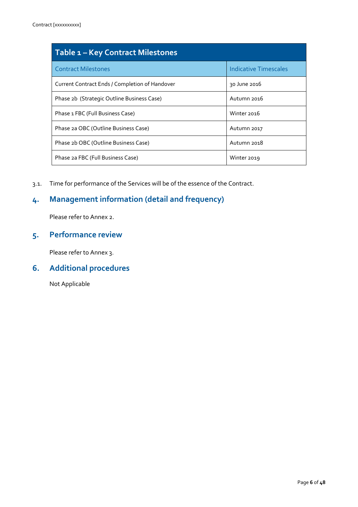| <b>Table 1 - Key Contract Milestones</b>       |                              |  |
|------------------------------------------------|------------------------------|--|
| <b>Contract Milestones</b>                     | <b>Indicative Timescales</b> |  |
| Current Contract Ends / Completion of Handover | 30 June 2016                 |  |
| Phase 2b (Strategic Outline Business Case)     | Autumn 2016                  |  |
| Phase 1 FBC (Full Business Case)               | Winter 2016                  |  |
| Phase 2a OBC (Outline Business Case)           | Autumn 2017                  |  |
| Phase 2b OBC (Outline Business Case)           | Autumn 2018                  |  |
| Phase 2a FBC (Full Business Case)              | Winter 2019                  |  |

3.1. Time for performance of the Services will be of the essence of the Contract.

# **4. Management information (detail and frequency)**

Please refer to Annex 2.

# **5. Performance review**

Please refer to Annex 3.

# **6. Additional procedures**

Not Applicable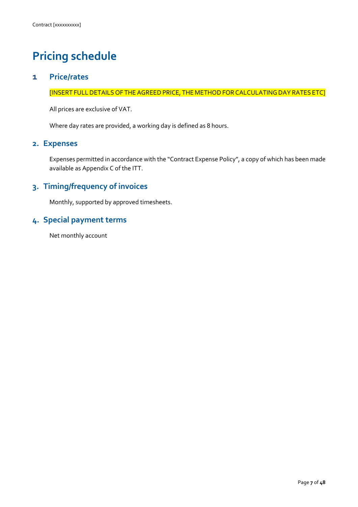# **Pricing schedule**

#### **1 Price/rates**

[INSERT FULL DETAILS OF THE AGREED PRICE, THE METHOD FOR CALCULATING DAY RATES ETC]

All prices are exclusive of VAT.

Where day rates are provided, a working day is defined as 8 hours.

#### **2. Expenses**

Expenses permitted in accordance with the "Contract Expense Policy", a copy of which has been made available as Appendix C of the ITT.

# **3. Timing/frequency of invoices**

Monthly, supported by approved timesheets.

## **4. Special payment terms**

Net monthly account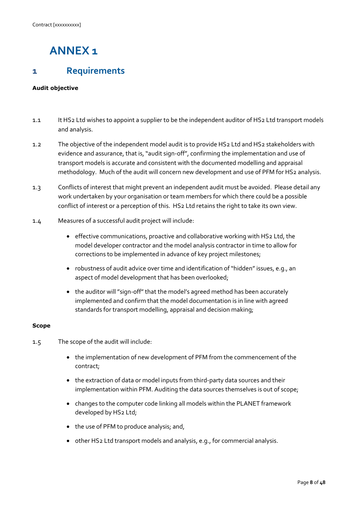# **ANNEX 1**

# **1 Requirements**

#### **Audit objective**

- 1.1 It HS2 Ltd wishes to appoint a supplier to be the independent auditor of HS2 Ltd transport models and analysis.
- 1.2 The objective of the independent model audit is to provide HS2 Ltd and HS2 stakeholders with evidence and assurance, that is, "audit sign-off", confirming the implementation and use of transport models is accurate and consistent with the documented modelling and appraisal methodology. Much of the audit will concern new development and use of PFM for HS2 analysis.
- 1.3 Conflicts of interest that might prevent an independent audit must be avoided. Please detail any work undertaken by your organisation or team members for which there could be a possible conflict of interest or a perception of this. HS2 Ltd retains the right to take its own view.
- 1.4 Measures of a successful audit project will include:
	- effective communications, proactive and collaborative working with HS2 Ltd, the model developer contractor and the model analysis contractor in time to allow for corrections to be implemented in advance of key project milestones;
	- robustness of audit advice over time and identification of "hidden" issues, e.g., an aspect of model development that has been overlooked;
	- the auditor will "sign-off" that the model's agreed method has been accurately implemented and confirm that the model documentation is in line with agreed standards for transport modelling, appraisal and decision making;

#### **Scope**

- 1.5 The scope of the audit will include:
	- the implementation of new development of PFM from the commencement of the contract;
	- the extraction of data or model inputs from third-party data sources and their implementation within PFM. Auditing the data sources themselves is out of scope;
	- changes to the computer code linking all models within the PLANET framework developed by HS2 Ltd;
	- the use of PFM to produce analysis; and,
	- other HS2 Ltd transport models and analysis, e.g., for commercial analysis.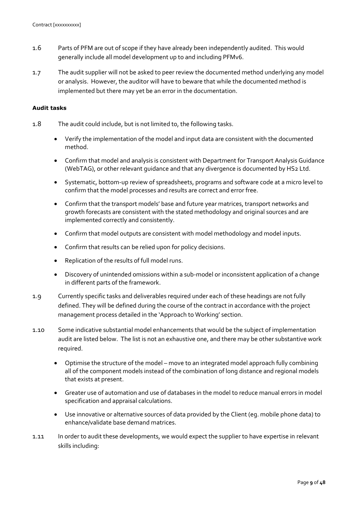- 1.6 Parts of PFM are out of scope if they have already been independently audited. This would generally include all model development up to and including PFMv6.
- 1.7 The audit supplier will not be asked to peer review the documented method underlying any model or analysis. However, the auditor will have to beware that while the documented method is implemented but there may yet be an error in the documentation.

#### **Audit tasks**

- 1.8 The audit could include, but is not limited to, the following tasks.
	- Verify the implementation of the model and input data are consistent with the documented method.
	- Confirm that model and analysis is consistent with Department for Transport Analysis Guidance (WebTAG), or other relevant guidance and that any divergence is documented by HS2 Ltd.
	- Systematic, bottom-up review of spreadsheets, programs and software code at a micro level to confirm that the model processes and results are correct and error free.
	- Confirm that the transport models' base and future year matrices, transport networks and growth forecasts are consistent with the stated methodology and original sources and are implemented correctly and consistently.
	- Confirm that model outputs are consistent with model methodology and model inputs.
	- Confirm that results can be relied upon for policy decisions.
	- Replication of the results of full model runs.
	- Discovery of unintended omissions within a sub-model or inconsistent application of a change in different parts of the framework.
- 1.9 Currently specific tasks and deliverables required under each of these headings are not fully defined. They will be defined during the course of the contract in accordance with the project management process detailed in the 'Approach to Working' section.
- 1.10 Some indicative substantial model enhancements that would be the subject of implementation audit are listed below. The list is not an exhaustive one, and there may be other substantive work required.
	- Optimise the structure of the model move to an integrated model approach fully combining all of the component models instead of the combination of long distance and regional models that exists at present.
	- Greater use of automation and use of databases in the model to reduce manual errors in model specification and appraisal calculations.
	- Use innovative or alternative sources of data provided by the Client (eg. mobile phone data) to enhance/validate base demand matrices.
- 1.11 In order to audit these developments, we would expect the supplier to have expertise in relevant skills including: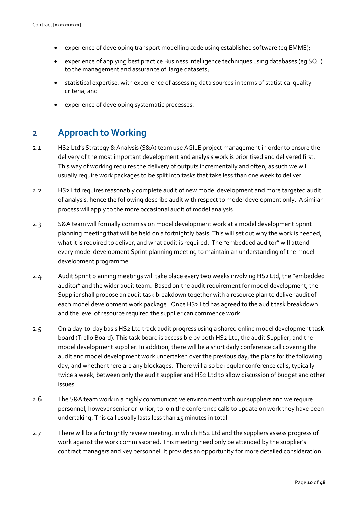- experience of developing transport modelling code using established software (eg EMME);
- experience of applying best practice Business Intelligence techniques using databases (eg SQL) to the management and assurance of large datasets;
- statistical expertise, with experience of assessing data sources in terms of statistical quality criteria; and
- experience of developing systematic processes.

# **2 Approach to Working**

- 2.1 HS2 Ltd's Strategy & Analysis (S&A) team use AGILE project management in order to ensure the delivery of the most important development and analysis work is prioritised and delivered first. This way of working requires the delivery of outputs incrementally and often, as such we will usually require work packages to be split into tasks that take less than one week to deliver.
- 2.2 HS2 Ltd requires reasonably complete audit of new model development and more targeted audit of analysis, hence the following describe audit with respect to model development only. A similar process will apply to the more occasional audit of model analysis.
- 2.3 S&A team will formally commission model development work at a model development Sprint planning meeting that will be held on a fortnightly basis. This will set out why the work is needed, what it is required to deliver, and what audit is required. The "embedded auditor" will attend every model development Sprint planning meeting to maintain an understanding of the model development programme.
- 2.4 Audit Sprint planning meetings will take place every two weeks involving HS2 Ltd, the "embedded auditor" and the wider audit team. Based on the audit requirement for model development, the Supplier shall propose an audit task breakdown together with a resource plan to deliver audit of each model development work package. Once HS2 Ltd has agreed to the audit task breakdown and the level of resource required the supplier can commence work.
- 2.5 On a day-to-day basis HS2 Ltd track audit progress using a shared online model development task board (Trello Board). This task board is accessible by both HS2 Ltd, the audit Supplier, and the model development supplier. In addition, there will be a short daily conference call covering the audit and model development work undertaken over the previous day, the plans for the following day, and whether there are any blockages. There will also be regular conference calls, typically twice a week, between only the audit supplier and HS2 Ltd to allow discussion of budget and other issues.
- 2.6 The S&A team work in a highly communicative environment with our suppliers and we require personnel, however senior or junior, to join the conference calls to update on work they have been undertaking. This call usually lasts less than 15 minutes in total.
- 2.7 There will be a fortnightly review meeting, in which HS2 Ltd and the suppliers assess progress of work against the work commissioned. This meeting need only be attended by the supplier's contract managers and key personnel. It provides an opportunity for more detailed consideration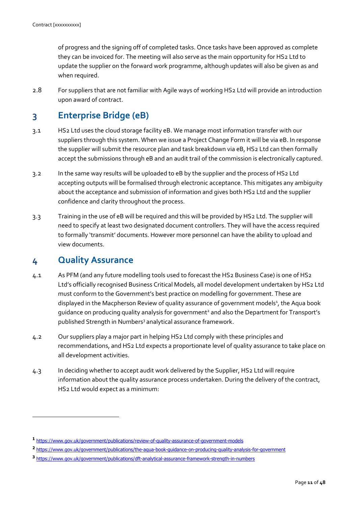of progress and the signing off of completed tasks. Once tasks have been approved as complete they can be invoiced for. The meeting will also serve as the main opportunity for HS2 Ltd to update the supplier on the forward work programme, although updates will also be given as and when required.

2.8 For suppliers that are not familiar with Agile ways of working HS2 Ltd will provide an introduction upon award of contract.

# **3 Enterprise Bridge (eB)**

- 3.1 HS2 Ltd uses the cloud storage facility eB. We manage most information transfer with our suppliers through this system. When we issue a Project Change Form it will be via eB. In response the supplier will submit the resource plan and task breakdown via eB, HS2 Ltd can then formally accept the submissions through eB and an audit trail of the commission is electronically captured.
- 3.2 In the same way results will be uploaded to eB by the supplier and the process of HS2 Ltd accepting outputs will be formalised through electronic acceptance. This mitigates any ambiguity about the acceptance and submission of information and gives both HS2 Ltd and the supplier confidence and clarity throughout the process.
- 3.3 Training in the use of eB will be required and this will be provided by HS2 Ltd. The supplier will need to specify at least two designated document controllers. They will have the access required to formally 'transmit' documents. However more personnel can have the ability to upload and view documents.

# **4 Quality Assurance**

 $\overline{a}$ 

- 4.1 As PFM (and any future modelling tools used to forecast the HS2 Business Case) is one of HS2 Ltd's officially recognised Business Critical Models, all model development undertaken by HS2 Ltd must conform to the Government's best practice on modelling for government. These are displayed in the Macpherson Review of quality assurance of government models<sup>1</sup>, the Aqua book guidance on producing quality analysis for government<sup>2</sup> and also the Department for Transport's published Strength in Numbers<sup>3</sup> analytical assurance framework.
- 4.2 Our suppliers play a major part in helping HS2 Ltd comply with these principles and recommendations, and HS2 Ltd expects a proportionate level of quality assurance to take place on all development activities.
- 4.3 In deciding whether to accept audit work delivered by the Supplier, HS2 Ltd will require information about the quality assurance process undertaken. During the delivery of the contract, HS2 Ltd would expect as a minimum:

**<sup>1</sup>** <https://www.gov.uk/government/publications/review-of-quality-assurance-of-government-models>

**<sup>2</sup>** <https://www.gov.uk/government/publications/the-aqua-book-guidance-on-producing-quality-analysis-for-government>

**<sup>3</sup>** <https://www.gov.uk/government/publications/dft-analytical-assurance-framework-strength-in-numbers>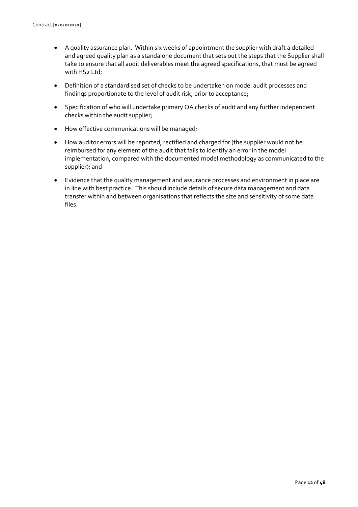- A quality assurance plan. Within six weeks of appointment the supplier with draft a detailed and agreed quality plan as a standalone document that sets out the steps that the Supplier shall take to ensure that all audit deliverables meet the agreed specifications, that must be agreed with HS2 Ltd;
- Definition of a standardised set of checks to be undertaken on model audit processes and findings proportionate to the level of audit risk, prior to acceptance;
- Specification of who will undertake primary QA checks of audit and any further independent checks within the audit supplier;
- How effective communications will be managed;
- How auditor errors will be reported, rectified and charged for (the supplier would not be reimbursed for any element of the audit that fails to identify an error in the model implementation, compared with the documented model methodology as communicated to the supplier); and
- Evidence that the quality management and assurance processes and environment in place are in line with best practice. This should include details of secure data management and data transfer within and between organisations that reflects the size and sensitivity of some data files.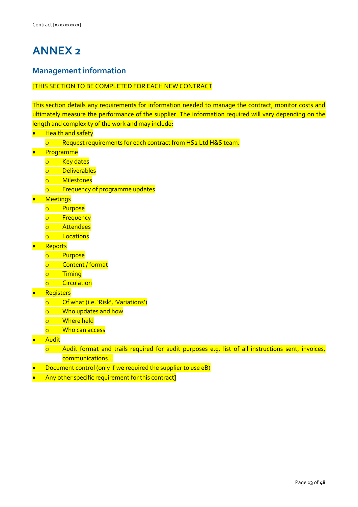# **ANNEX 2**

# **Management information**

#### [THIS SECTION TO BE COMPLETED FOR EACH NEW CONTRACT

This section details any requirements for information needed to manage the contract, monitor costs and ultimately measure the performance of the supplier. The information required will vary depending on the length and complexity of the work and may include:

- Health and safety
	- o Request requirements for each contract from HS2 Ltd H&S team.
- **•** Programme
	- o Key dates
	- o Deliverables
	- o Milestones
	- o Frequency of programme updates
- **Meetings** 
	- o Purpose
	- o Frequency
	- o Attendees
	- o Locations
- **Reports** 
	- o Purpose
	- o Content / format
	- o Timing
	- o Circulation
- **Registers** 
	- o Of what (i.e. 'Risk', 'Variations')
	- o Who updates and how
	- **Where held**
	- o Who can access
- **•** Audit
	- o Audit format and trails required for audit purposes e.g. list of all instructions sent, invoices, communications…
- Document control (only if we required the supplier to use eB)
- Any other specific requirement for this contract]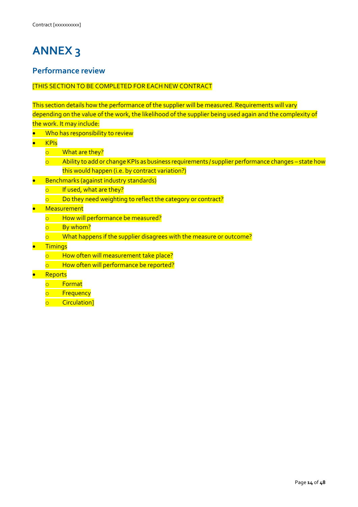# **ANNEX 3**

# **Performance review**

#### [THIS SECTION TO BE COMPLETED FOR EACH NEW CONTRACT

This section details how the performance of the supplier will be measured. Requirements will vary depending on the value of the work, the likelihood of the supplier being used again and the complexity of the work. It may include:

- **•** Who has responsibility to review
- $\bullet$  KPIs
	- o What are they?
	- $\circ$  Ability to add or change KPIs as business requirements / supplier performance changes state how this would happen (i.e. by contract variation?)
- Benchmarks (against industry standards)
	- o If used, what are they?
	- o Do they need weighting to reflect the category or contract?
- Measurement
	- o How will performance be measured?
	- o By whom?
	- o What happens if the supplier disagrees with the measure or outcome?
- **Timings** 
	- o How often will measurement take place?
	- o How often will performance be reported?
- **Reports** 
	- o Format
	- o Frequency
	- o Circulation]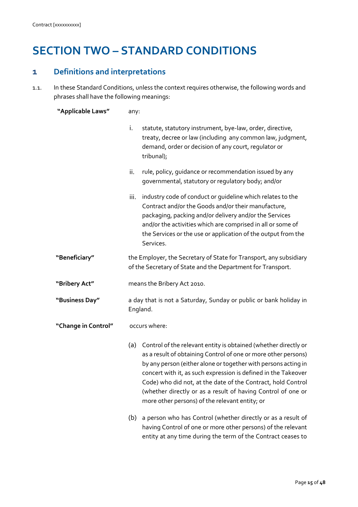# **SECTION TWO – STANDARD CONDITIONS**

# <span id="page-16-0"></span>**1 Definitions and interpretations**

1.1. In these Standard Conditions, unless the context requires otherwise, the following words and phrases shall have the following meanings:

#### **"Applicable Laws"** any:

|                     | i.                                                                                                                                | statute, statutory instrument, bye-law, order, directive,<br>treaty, decree or law (including any common law, judgment,<br>demand, order or decision of any court, regulator or<br>tribunal);                                                                                                                                                                                                                                                           |  |
|---------------------|-----------------------------------------------------------------------------------------------------------------------------------|---------------------------------------------------------------------------------------------------------------------------------------------------------------------------------------------------------------------------------------------------------------------------------------------------------------------------------------------------------------------------------------------------------------------------------------------------------|--|
|                     | ii.                                                                                                                               | rule, policy, guidance or recommendation issued by any<br>governmental, statutory or regulatory body; and/or                                                                                                                                                                                                                                                                                                                                            |  |
|                     | iii.                                                                                                                              | industry code of conduct or guideline which relates to the<br>Contract and/or the Goods and/or their manufacture,<br>packaging, packing and/or delivery and/or the Services<br>and/or the activities which are comprised in all or some of<br>the Services or the use or application of the output from the<br>Services.                                                                                                                                |  |
| "Beneficiary"       | the Employer, the Secretary of State for Transport, any subsidiary<br>of the Secretary of State and the Department for Transport. |                                                                                                                                                                                                                                                                                                                                                                                                                                                         |  |
| "Bribery Act"       | means the Bribery Act 2010.                                                                                                       |                                                                                                                                                                                                                                                                                                                                                                                                                                                         |  |
| "Business Day"      | a day that is not a Saturday, Sunday or public or bank holiday in<br>England.                                                     |                                                                                                                                                                                                                                                                                                                                                                                                                                                         |  |
| "Change in Control" |                                                                                                                                   | occurs where:                                                                                                                                                                                                                                                                                                                                                                                                                                           |  |
|                     | (a)                                                                                                                               | Control of the relevant entity is obtained (whether directly or<br>as a result of obtaining Control of one or more other persons)<br>by any person (either alone or together with persons acting in<br>concert with it, as such expression is defined in the Takeover<br>Code) who did not, at the date of the Contract, hold Control<br>(whether directly or as a result of having Control of one or<br>more other persons) of the relevant entity; or |  |
|                     | (b)                                                                                                                               | a person who has Control (whether directly or as a result of<br>having Control of one or more other persons) of the relevant<br>entity at any time during the term of the Contract ceases to                                                                                                                                                                                                                                                            |  |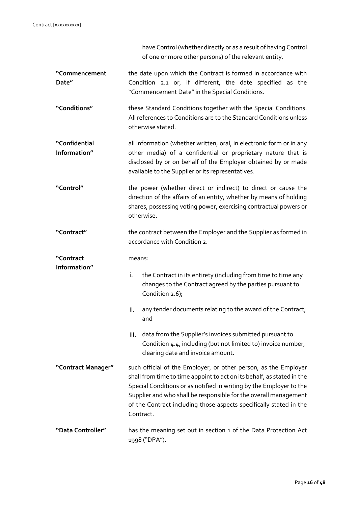|                               | have Control (whether directly or as a result of having Control<br>of one or more other persons) of the relevant entity.                                                                                                                                                                                                                                                |  |  |
|-------------------------------|-------------------------------------------------------------------------------------------------------------------------------------------------------------------------------------------------------------------------------------------------------------------------------------------------------------------------------------------------------------------------|--|--|
| "Commencement<br>Date"        | the date upon which the Contract is formed in accordance with<br>Condition 2.1 or, if different, the date specified as the<br>"Commencement Date" in the Special Conditions.                                                                                                                                                                                            |  |  |
| "Conditions"                  | these Standard Conditions together with the Special Conditions.<br>All references to Conditions are to the Standard Conditions unless<br>otherwise stated.                                                                                                                                                                                                              |  |  |
| "Confidential<br>Information" | all information (whether written, oral, in electronic form or in any<br>other media) of a confidential or proprietary nature that is<br>disclosed by or on behalf of the Employer obtained by or made<br>available to the Supplier or its representatives.                                                                                                              |  |  |
| "Control"                     | the power (whether direct or indirect) to direct or cause the<br>direction of the affairs of an entity, whether by means of holding<br>shares, possessing voting power, exercising contractual powers or<br>otherwise.                                                                                                                                                  |  |  |
| "Contract"                    | the contract between the Employer and the Supplier as formed in<br>accordance with Condition 2.                                                                                                                                                                                                                                                                         |  |  |
| "Contract<br>Information"     | means:                                                                                                                                                                                                                                                                                                                                                                  |  |  |
|                               | the Contract in its entirety (including from time to time any<br>i.<br>changes to the Contract agreed by the parties pursuant to<br>Condition 2.6);                                                                                                                                                                                                                     |  |  |
|                               | any tender documents relating to the award of the Contract;<br>ii.<br>and                                                                                                                                                                                                                                                                                               |  |  |
|                               | data from the Supplier's invoices submitted pursuant to<br>iii.<br>Condition 4.4, including (but not limited to) invoice number,<br>clearing date and invoice amount.                                                                                                                                                                                                   |  |  |
| "Contract Manager"            | such official of the Employer, or other person, as the Employer<br>shall from time to time appoint to act on its behalf, as stated in the<br>Special Conditions or as notified in writing by the Employer to the<br>Supplier and who shall be responsible for the overall management<br>of the Contract including those aspects specifically stated in the<br>Contract. |  |  |
| "Data Controller"             | has the meaning set out in section 1 of the Data Protection Act<br>1998 ("DPA").                                                                                                                                                                                                                                                                                        |  |  |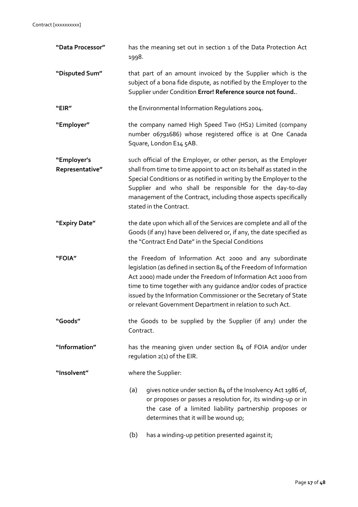#### Contract [xxxxxxxxxx]

| "Data Processor"               | has the meaning set out in section 1 of the Data Protection Act<br>1998.                                                                                                                                                                                                                                                                                                                              |  |  |
|--------------------------------|-------------------------------------------------------------------------------------------------------------------------------------------------------------------------------------------------------------------------------------------------------------------------------------------------------------------------------------------------------------------------------------------------------|--|--|
| "Disputed Sum"                 | that part of an amount invoiced by the Supplier which is the<br>subject of a bona fide dispute, as notified by the Employer to the<br>Supplier under Condition Error! Reference source not found                                                                                                                                                                                                      |  |  |
| "EIR"                          | the Environmental Information Regulations 2004.                                                                                                                                                                                                                                                                                                                                                       |  |  |
| "Employer"                     | the company named High Speed Two (HS2) Limited (company<br>number 06791686) whose registered office is at One Canada<br>Square, London E14 5AB.                                                                                                                                                                                                                                                       |  |  |
| "Employer's<br>Representative" | such official of the Employer, or other person, as the Employer<br>shall from time to time appoint to act on its behalf as stated in the<br>Special Conditions or as notified in writing by the Employer to the<br>Supplier and who shall be responsible for the day-to-day<br>management of the Contract, including those aspects specifically<br>stated in the Contract.                            |  |  |
| "Expiry Date"                  | the date upon which all of the Services are complete and all of the<br>Goods (if any) have been delivered or, if any, the date specified as<br>the "Contract End Date" in the Special Conditions                                                                                                                                                                                                      |  |  |
| "FOIA"                         | the Freedom of Information Act 2000 and any subordinate<br>legislation (as defined in section 84 of the Freedom of Information<br>Act 2000) made under the Freedom of Information Act 2000 from<br>time to time together with any guidance and/or codes of practice<br>issued by the Information Commissioner or the Secretary of State<br>or relevant Government Department in relation to such Act. |  |  |
| "Goods"                        | the Goods to be supplied by the Supplier (if any) under the<br>Contract.                                                                                                                                                                                                                                                                                                                              |  |  |
| "Information"                  | has the meaning given under section 84 of FOIA and/or under<br>regulation 2(1) of the EIR.                                                                                                                                                                                                                                                                                                            |  |  |
| "Insolvent"                    | where the Supplier:                                                                                                                                                                                                                                                                                                                                                                                   |  |  |
|                                | gives notice under section 84 of the Insolvency Act 1986 of,<br>(a)<br>or proposes or passes a resolution for, its winding-up or in<br>the case of a limited liability partnership proposes or<br>determines that it will be wound up;                                                                                                                                                                |  |  |
|                                | (b)<br>has a winding-up petition presented against it;                                                                                                                                                                                                                                                                                                                                                |  |  |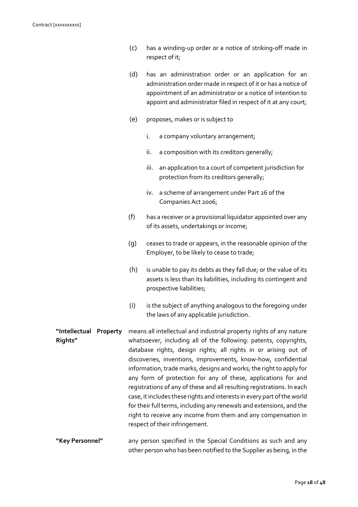| (c) | has a winding-up order or a notice of striking-off made in |  |  |
|-----|------------------------------------------------------------|--|--|
|     | respect of it;                                             |  |  |

- (d) has an administration order or an application for an administration order made in respect of it or has a notice of appointment of an administrator or a notice of intention to appoint and administrator filed in respect of it at any court;
- (e) proposes, makes or is subject to
	- i. a company voluntary arrangement;
	- ii. a composition with its creditors generally;
	- iii. an application to a court of competent jurisdiction for protection from its creditors generally;
	- iv. a scheme of arrangement under Part 26 of the Companies Act 2006;
- (f) has a receiver or a provisional liquidator appointed over any of its assets, undertakings or income;
- (g) ceases to trade or appears, in the reasonable opinion of the Employer, to be likely to cease to trade;
- (h) is unable to pay its debts as they fall due; or the value of its assets is less than its liabilities, including its contingent and prospective liabilities;
- (i) is the subject of anything analogous to the foregoing under the laws of any applicable jurisdiction.
- **"Intellectual Property Rights"** means all intellectual and industrial property rights of any nature whatsoever, including all of the following: patents, copyrights, database rights, design rights; all rights in or arising out of discoveries, inventions, improvements, know-how, confidential information, trade marks, designs and works; the right to apply for any form of protection for any of these, applications for and registrations of any of these and all resulting registrations. In each case, it includes these rights and interests in every part of the world for their full terms, including any renewals and extensions, and the right to receive any income from them and any compensation in respect of their infringement.
- **"Key Personnel"** any person specified in the Special Conditions as such and any other person who has been notified to the Supplier as being, in the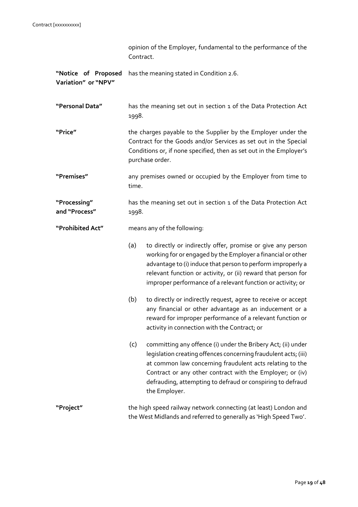|                                            | opinion of the Employer, fundamental to the performance of the<br>Contract.                                                                                                                                                 |                                                                                                                                                                                                                                                                                                                                         |  |  |
|--------------------------------------------|-----------------------------------------------------------------------------------------------------------------------------------------------------------------------------------------------------------------------------|-----------------------------------------------------------------------------------------------------------------------------------------------------------------------------------------------------------------------------------------------------------------------------------------------------------------------------------------|--|--|
| "Notice of Proposed<br>Variation" or "NPV" | has the meaning stated in Condition 2.6.                                                                                                                                                                                    |                                                                                                                                                                                                                                                                                                                                         |  |  |
| "Personal Data"                            |                                                                                                                                                                                                                             | has the meaning set out in section 1 of the Data Protection Act<br>1998.                                                                                                                                                                                                                                                                |  |  |
| "Price"                                    | the charges payable to the Supplier by the Employer under the<br>Contract for the Goods and/or Services as set out in the Special<br>Conditions or, if none specified, then as set out in the Employer's<br>purchase order. |                                                                                                                                                                                                                                                                                                                                         |  |  |
| "Premises"                                 | any premises owned or occupied by the Employer from time to<br>time.                                                                                                                                                        |                                                                                                                                                                                                                                                                                                                                         |  |  |
| "Processing"<br>and "Process"              | has the meaning set out in section 1 of the Data Protection Act<br>1998.                                                                                                                                                    |                                                                                                                                                                                                                                                                                                                                         |  |  |
| "Prohibited Act"                           | means any of the following:                                                                                                                                                                                                 |                                                                                                                                                                                                                                                                                                                                         |  |  |
|                                            | (a)                                                                                                                                                                                                                         | to directly or indirectly offer, promise or give any person<br>working for or engaged by the Employer a financial or other<br>advantage to (i) induce that person to perform improperly a<br>relevant function or activity, or (ii) reward that person for<br>improper performance of a relevant function or activity; or               |  |  |
|                                            | (b)                                                                                                                                                                                                                         | to directly or indirectly request, agree to receive or accept<br>any financial or other advantage as an inducement or a<br>reward for improper performance of a relevant function or<br>activity in connection with the Contract; or                                                                                                    |  |  |
|                                            | (c)                                                                                                                                                                                                                         | committing any offence (i) under the Bribery Act; (ii) under<br>legislation creating offences concerning fraudulent acts; (iii)<br>at common law concerning fraudulent acts relating to the<br>Contract or any other contract with the Employer; or (iv)<br>defrauding, attempting to defraud or conspiring to defraud<br>the Employer. |  |  |
| "Project"                                  | the high speed railway network connecting (at least) London and<br>the West Midlands and referred to generally as 'High Speed Two'.                                                                                         |                                                                                                                                                                                                                                                                                                                                         |  |  |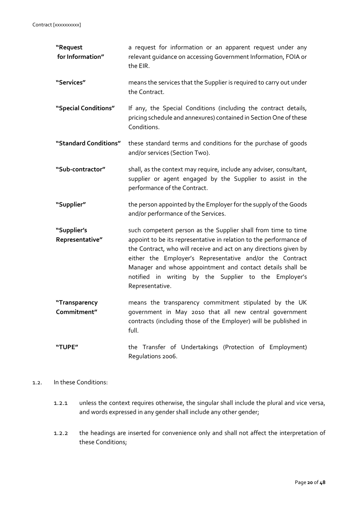| "Request<br>for Information"   | a request for information or an apparent request under any<br>relevant guidance on accessing Government Information, FOIA or<br>the EIR.                                                                                                                                                                                                                                                                       |
|--------------------------------|----------------------------------------------------------------------------------------------------------------------------------------------------------------------------------------------------------------------------------------------------------------------------------------------------------------------------------------------------------------------------------------------------------------|
| "Services"                     | means the services that the Supplier is required to carry out under<br>the Contract.                                                                                                                                                                                                                                                                                                                           |
| "Special Conditions"           | If any, the Special Conditions (including the contract details,<br>pricing schedule and annexures) contained in Section One of these<br>Conditions.                                                                                                                                                                                                                                                            |
| "Standard Conditions"          | these standard terms and conditions for the purchase of goods<br>and/or services (Section Two).                                                                                                                                                                                                                                                                                                                |
| "Sub-contractor"               | shall, as the context may require, include any adviser, consultant,<br>supplier or agent engaged by the Supplier to assist in the<br>performance of the Contract.                                                                                                                                                                                                                                              |
| "Supplier"                     | the person appointed by the Employer for the supply of the Goods<br>and/or performance of the Services.                                                                                                                                                                                                                                                                                                        |
| "Supplier's<br>Representative" | such competent person as the Supplier shall from time to time<br>appoint to be its representative in relation to the performance of<br>the Contract, who will receive and act on any directions given by<br>either the Employer's Representative and/or the Contract<br>Manager and whose appointment and contact details shall be<br>notified in writing by the Supplier to the Employer's<br>Representative. |
| "Transparency<br>Commitment"   | means the transparency commitment stipulated by the UK<br>government in May 2010 that all new central government<br>contracts (including those of the Employer) will be published in<br>full.                                                                                                                                                                                                                  |
| "TUPE"                         | the Transfer of Undertakings (Protection of Employment)<br>Regulations 2006.                                                                                                                                                                                                                                                                                                                                   |

#### 1.2. In these Conditions:

- 1.2.1 unless the context requires otherwise, the singular shall include the plural and vice versa, and words expressed in any gender shall include any other gender;
- 1.2.2 the headings are inserted for convenience only and shall not affect the interpretation of these Conditions;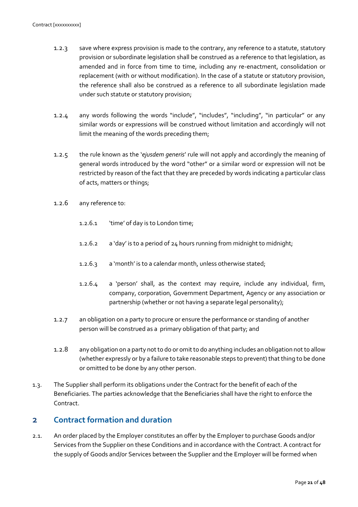- 1.2.3 save where express provision is made to the contrary, any reference to a statute, statutory provision or subordinate legislation shall be construed as a reference to that legislation, as amended and in force from time to time, including any re-enactment, consolidation or replacement (with or without modification). In the case of a statute or statutory provision, the reference shall also be construed as a reference to all subordinate legislation made under such statute or statutory provision;
- 1.2.4 any words following the words "include", "includes", "including", "in particular" or any similar words or expressions will be construed without limitation and accordingly will not limit the meaning of the words preceding them;
- 1.2.5 the rule known as the '*ejusdem generis*' rule will not apply and accordingly the meaning of general words introduced by the word "other" or a similar word or expression will not be restricted by reason of the fact that they are preceded by words indicating a particular class of acts, matters or things;
- 1.2.6 any reference to:
	- 1.2.6.1 'time' of day is to London time;
	- 1.2.6.2 a 'day' is to a period of 24 hours running from midnight to midnight;
	- 1.2.6.3 a 'month' is to a calendar month, unless otherwise stated;
	- 1.2.6.4 a 'person' shall, as the context may require, include any individual, firm, company, corporation, Government Department, Agency or any association or partnership (whether or not having a separate legal personality);
- 1.2.7 an obligation on a party to procure or ensure the performance or standing of another person will be construed as a primary obligation of that party; and
- 1.2.8 any obligation on a party not to do or omit to do anything includes an obligation not to allow (whether expressly or by a failure to take reasonable steps to prevent) that thing to be done or omitted to be done by any other person.
- <span id="page-22-2"></span>1.3. The Supplier shall perform its obligations under the Contract for the benefit of each of the Beneficiaries. The parties acknowledge that the Beneficiaries shall have the right to enforce the Contract.

# <span id="page-22-1"></span>**2 Contract formation and duration**

<span id="page-22-0"></span>2.1. An order placed by the Employer constitutes an offer by the Employer to purchase Goods and/or Services from the Supplier on these Conditions and in accordance with the Contract. A contract for the supply of Goods and/or Services between the Supplier and the Employer will be formed when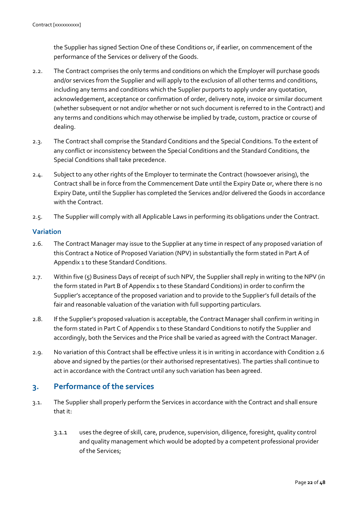the Supplier has signed Section One of these Conditions or, if earlier, on commencement of the performance of the Services or delivery of the Goods.

- 2.2. The Contract comprises the only terms and conditions on which the Employer will purchase goods and/or services from the Supplier and will apply to the exclusion of all other terms and conditions, including any terms and conditions which the Supplier purports to apply under any quotation, acknowledgement, acceptance or confirmation of order, delivery note, invoice or similar document (whether subsequent or not and/or whether or not such document is referred to in the Contract) and any terms and conditions which may otherwise be implied by trade, custom, practice or course of dealing.
- 2.3. The Contract shall comprise the Standard Conditions and the Special Conditions. To the extent of any conflict or inconsistency between the Special Conditions and the Standard Conditions, the Special Conditions shall take precedence.
- 2.4. Subject to any other rights of the Employer to terminate the Contract (howsoever arising), the Contract shall be in force from the Commencement Date until the Expiry Date or, where there is no Expiry Date, until the Supplier has completed the Services and/or delivered the Goods in accordance with the Contract.
- 2.5. The Supplier will comply with all Applicable Laws in performing its obligations under the Contract.

#### **Variation**

- 2.6. The Contract Manager may issue to the Supplier at any time in respect of any proposed variation of this Contract a Notice of Proposed Variation (NPV) in substantially the form stated in Part A of Appendix 1 to these Standard Conditions.
- 2.7. Within five (5) Business Days of receipt of such NPV, the Supplier shall reply in writing to the NPV (in the form stated in Part B of Appendix 1 to these Standard Conditions) in order to confirm the Supplier's acceptance of the proposed variation and to provide to the Supplier's full details of the fair and reasonable valuation of the variation with full supporting particulars.
- 2.8. If the Supplier's proposed valuation is acceptable, the Contract Manager shall confirm in writing in the form stated in Part C of Appendix 1 to these Standard Conditions to notify the Supplier and accordingly, both the Services and the Price shall be varied as agreed with the Contract Manager.
- 2.9. No variation of this Contract shall be effective unless it is in writing in accordance with Condition 2.6 above and signed by the parties (or their authorised representatives). The parties shall continue to act in accordance with the Contract until any such variation has been agreed.

# **3. Performance of the services**

- 3.1. The Supplier shall properly perform the Services in accordance with the Contract and shall ensure that it:
	- 3.1.1 uses the degree of skill, care, prudence, supervision, diligence, foresight, quality control and quality management which would be adopted by a competent professional provider of the Services;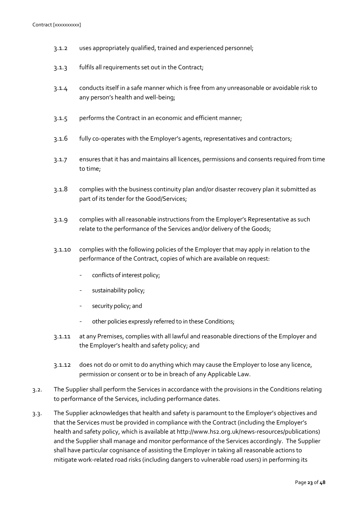- 3.1.2 uses appropriately qualified, trained and experienced personnel;
- 3.1.3 fulfils all requirements set out in the Contract;
- 3.1.4 conducts itself in a safe manner which is free from any unreasonable or avoidable risk to any person's health and well-being;
- 3.1.5 performs the Contract in an economic and efficient manner;
- 3.1.6 fully co-operates with the Employer's agents, representatives and contractors;
- 3.1.7 ensures that it has and maintains all licences, permissions and consents required from time to time;
- 3.1.8 complies with the business continuity plan and/or disaster recovery plan it submitted as part of its tender for the Good/Services;
- 3.1.9 complies with all reasonable instructions from the Employer's Representative as such relate to the performance of the Services and/or delivery of the Goods;
- 3.1.10 complies with the following policies of the Employer that may apply in relation to the performance of the Contract, copies of which are available on request:
	- conflicts of interest policy;
	- sustainability policy;
	- security policy; and
	- other policies expressly referred to in these Conditions;
- 3.1.11 at any Premises, complies with all lawful and reasonable directions of the Employer and the Employer's health and safety policy; and
- 3.1.12 does not do or omit to do anything which may cause the Employer to lose any licence, permission or consent or to be in breach of any Applicable Law.
- 3.2. The Supplier shall perform the Services in accordance with the provisions in the Conditions relating to performance of the Services, including performance dates.
- 3.3. The Supplier acknowledges that health and safety is paramount to the Employer's objectives and that the Services must be provided in compliance with the Contract (including the Employer's health and safety policy, which is available at http://www.hs2.org.uk/news-resources/publications) and the Supplier shall manage and monitor performance of the Services accordingly. The Supplier shall have particular cognisance of assisting the Employer in taking all reasonable actions to mitigate work-related road risks (including dangers to vulnerable road users) in performing its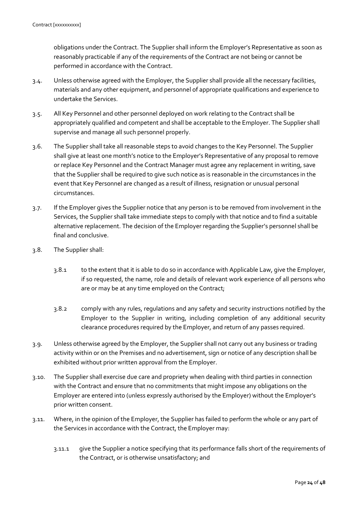obligations under the Contract. The Supplier shall inform the Employer's Representative as soon as reasonably practicable if any of the requirements of the Contract are not being or cannot be performed in accordance with the Contract.

- 3.4. Unless otherwise agreed with the Employer, the Supplier shall provide all the necessary facilities, materials and any other equipment, and personnel of appropriate qualifications and experience to undertake the Services.
- 3.5. All Key Personnel and other personnel deployed on work relating to the Contract shall be appropriately qualified and competent and shall be acceptable to the Employer. The Supplier shall supervise and manage all such personnel properly.
- 3.6. The Supplier shall take all reasonable steps to avoid changes to the Key Personnel. The Supplier shall give at least one month's notice to the Employer's Representative of any proposal to remove or replace Key Personnel and the Contract Manager must agree any replacement in writing, save that the Supplier shall be required to give such notice as is reasonable in the circumstances in the event that Key Personnel are changed as a result of illness, resignation or unusual personal circumstances.
- 3.7. If the Employer gives the Supplier notice that any person is to be removed from involvement in the Services, the Supplier shall take immediate steps to comply with that notice and to find a suitable alternative replacement. The decision of the Employer regarding the Supplier's personnel shall be final and conclusive.
- 3.8. The Supplier shall:
	- 3.8.1 to the extent that it is able to do so in accordance with Applicable Law, give the Employer, if so requested, the name, role and details of relevant work experience of all persons who are or may be at any time employed on the Contract;
	- 3.8.2 comply with any rules, regulations and any safety and security instructions notified by the Employer to the Supplier in writing, including completion of any additional security clearance procedures required by the Employer, and return of any passes required.
- 3.9. Unless otherwise agreed by the Employer, the Supplier shall not carry out any business or trading activity within or on the Premises and no advertisement, sign or notice of any description shall be exhibited without prior written approval from the Employer.
- 3.10. The Supplier shall exercise due care and propriety when dealing with third parties in connection with the Contract and ensure that no commitments that might impose any obligations on the Employer are entered into (unless expressly authorised by the Employer) without the Employer's prior written consent.
- <span id="page-25-0"></span>3.11. Where, in the opinion of the Employer, the Supplier has failed to perform the whole or any part of the Services in accordance with the Contract, the Employer may:
	- 3.11.1 give the Supplier a notice specifying that its performance falls short of the requirements of the Contract, or is otherwise unsatisfactory; and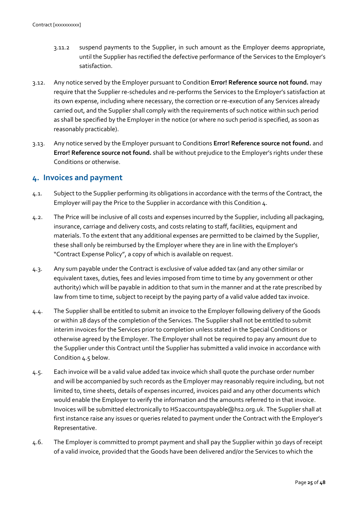- 3.11.2 suspend payments to the Supplier, in such amount as the Employer deems appropriate, until the Supplier has rectified the defective performance of the Services to the Employer's satisfaction.
- 3.12. Any notice served by the Employer pursuant to Condition **Error! Reference source not found.** may require that the Supplier re-schedules and re-performs the Services to the Employer's satisfaction at its own expense, including where necessary, the correction or re-execution of any Services already carried out, and the Supplier shall comply with the requirements of such notice within such period as shall be specified by the Employer in the notice (or where no such period is specified, as soon as reasonably practicable).
- 3.13. Any notice served by the Employer pursuant to Conditions **Error! Reference source not found.** and **Error! Reference source not found.** shall be without prejudice to the Employer's rights under these Conditions or otherwise.

#### <span id="page-26-0"></span>**4. Invoices and payment**

- 4.1. Subject to the Supplier performing its obligations in accordance with the terms of the Contract, the Employer will pay the Price to the Supplier in accordance with this Condition [4.](#page-26-0)
- 4.2. The Price will be inclusive of all costs and expenses incurred by the Supplier, including all packaging, insurance, carriage and delivery costs, and costs relating to staff, facilities, equipment and materials. To the extent that any additional expenses are permitted to be claimed by the Supplier, these shall only be reimbursed by the Employer where they are in line with the Employer's "Contract Expense Policy", a copy of which is available on request.
- 4.3. Any sum payable under the Contract is exclusive of value added tax (and any other similar or equivalent taxes, duties, fees and levies imposed from time to time by any government or other authority) which will be payable in addition to that sum in the manner and at the rate prescribed by law from time to time, subject to receipt by the paying party of a valid value added tax invoice.
- 4.4. The Supplier shall be entitled to submit an invoice to the Employer following delivery of the Goods or within 28 days of the completion of the Services. The Supplier shall not be entitled to submit interim invoices for the Services prior to completion unless stated in the Special Conditions or otherwise agreed by the Employer. The Employer shall not be required to pay any amount due to the Supplier under this Contract until the Supplier has submitted a valid invoice in accordance with Condition 4.5 below.
- 4.5. Each invoice will be a valid value added tax invoice which shall quote the purchase order number and will be accompanied by such records as the Employer may reasonably require including, but not limited to, time sheets, details of expenses incurred, invoices paid and any other documents which would enable the Employer to verify the information and the amounts referred to in that invoice. Invoices will be submitted electronically to HS2accountspayable@hs2.org.uk. The Supplier shall at first instance raise any issues or queries related to payment under the Contract with the Employer's Representative.
- <span id="page-26-1"></span>4.6. The Employer is committed to prompt payment and shall pay the Supplier within 30 days of receipt of a valid invoice, provided that the Goods have been delivered and/or the Services to which the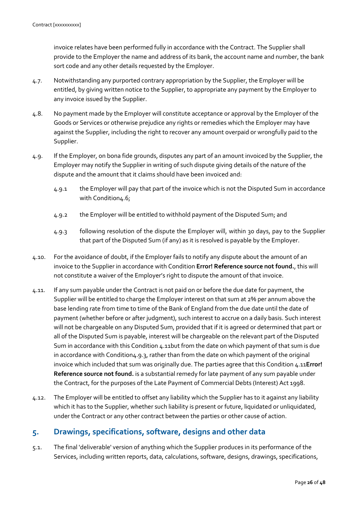invoice relates have been performed fully in accordance with the Contract. The Supplier shall provide to the Employer the name and address of its bank, the account name and number, the bank sort code and any other details requested by the Employer.

- 4.7. Notwithstanding any purported contrary appropriation by the Supplier, the Employer will be entitled, by giving written notice to the Supplier, to appropriate any payment by the Employer to any invoice issued by the Supplier.
- 4.8. No payment made by the Employer will constitute acceptance or approval by the Employer of the Goods or Services or otherwise prejudice any rights or remedies which the Employer may have against the Supplier, including the right to recover any amount overpaid or wrongfully paid to the Supplier.
- 4.9. If the Employer, on bona fide grounds, disputes any part of an amount invoiced by the Supplier, the Employer may notify the Supplier in writing of such dispute giving details of the nature of the dispute and the amount that it claims should have been invoiced and:
	- 4.9.1 the Employer will pay that part of the invoice which is not the Disputed Sum in accordance with Conditio[n4.6;](#page-26-1)
	- 4.9.2 the Employer will be entitled to withhold payment of the Disputed Sum; and
	- 4.9.3 following resolution of the dispute the Employer will, within 30 days, pay to the Supplier that part of the Disputed Sum (if any) as it is resolved is payable by the Employer.
- <span id="page-27-1"></span>4.10. For the avoidance of doubt, if the Employer fails to notify any dispute about the amount of an invoice to the Supplier in accordance with Condition **Error! Reference source not found.**, this will not constitute a waiver of the Employer's right to dispute the amount of that invoice.
- <span id="page-27-0"></span>4.11. If any sum payable under the Contract is not paid on or before the due date for payment, the Supplier will be entitled to charge the Employer interest on that sum at 2% per annum above the base lending rate from time to time of the Bank of England from the due date until the date of payment (whether before or after judgment), such interest to accrue on a daily basis. Such interest will not be chargeable on any Disputed Sum, provided that if it is agreed or determined that part or all of the Disputed Sum is payable, interest will be chargeable on the relevant part of the Disputed Sum in accordance with this Condition [4.11b](#page-27-0)ut from the date on which payment of that sum is due in accordance with Conditio[n4.9.3,](#page-27-1) rather than from the date on which payment of the original invoice which included that sum was originally due. The parties agree that this Conditio[n 4.11](#page-27-0)**[Error!](#page-27-0)  Reference source not found.** is a substantial remedy for late payment of any sum payable under the Contract, for the purposes of the Late Payment of Commercial Debts (Interest) Act 1998.
- 4.12. The Employer will be entitled to offset any liability which the Supplier has to it against any liability which it has to the Supplier, whether such liability is present or future, liquidated or unliquidated, under the Contract or any other contract between the parties or other cause of action.

## **5. Drawings, specifications, software, designs and other data**

5.1. The final 'deliverable' version of anything which the Supplier produces in its performance of the Services, including written reports, data, calculations, software, designs, drawings, specifications,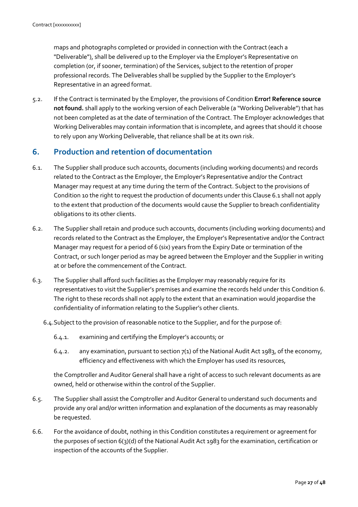maps and photographs completed or provided in connection with the Contract (each a "Deliverable"), shall be delivered up to the Employer via the Employer's Representative on completion (or, if sooner, termination) of the Services, subject to the retention of proper professional records. The Deliverables shall be supplied by the Supplier to the Employer's Representative in an agreed format.

5.2. If the Contract is terminated by the Employer, the provisions of Condition **Error! Reference source not found.** shall apply to the working version of each Deliverable (a "Working Deliverable") that has not been completed as at the date of termination of the Contract. The Employer acknowledges that Working Deliverables may contain information that is incomplete, and agrees that should it choose to rely upon any Working Deliverable, that reliance shall be at its own risk.

# <span id="page-28-0"></span>**6. Production and retention of documentation**

- 6.1. The Supplier shall produce such accounts, documents (including working documents) and records related to the Contract as the Employer, the Employer's Representative and/or the Contract Manager may request at any time during the term of the Contract. Subject to the provisions of Conditio[n 10](#page-30-0) the right to request the production of documents under this Clause 6.1 shall not apply to the extent that production of the documents would cause the Supplier to breach confidentiality obligations to its other clients.
- 6.2. The Supplier shall retain and produce such accounts, documents (including working documents) and records related to the Contract as the Employer, the Employer's Representative and/or the Contract Manager may request for a period of 6 (six) years from the Expiry Date or termination of the Contract, or such longer period as may be agreed between the Employer and the Supplier in writing at or before the commencement of the Contract.
- 6.3. The Supplier shall afford such facilities as the Employer may reasonably require for its representatives to visit the Supplier's premises and examine the records held under this Condition [6.](#page-28-0) The right to these records shall not apply to the extent that an examination would jeopardise the confidentiality of information relating to the Supplier's other clients.
	- 6.4.Subject to the provision of reasonable notice to the Supplier, and for the purpose of:
		- 6.4.1. examining and certifying the Employer's accounts; or
		- 6.4.2. any examination, pursuant to section 7(1) of the National Audit Act 1983, of the economy, efficiency and effectiveness with which the Employer has used its resources,

the Comptroller and Auditor General shall have a right of access to such relevant documents as are owned, held or otherwise within the control of the Supplier.

- 6.5. The Supplier shall assist the Comptroller and Auditor General to understand such documents and provide any oral and/or written information and explanation of the documents as may reasonably be requested.
- 6.6. For the avoidance of doubt, nothing in this Condition constitutes a requirement or agreement for the purposes of section 6(3)(d) of the National Audit Act 1983 for the examination, certification or inspection of the accounts of the Supplier.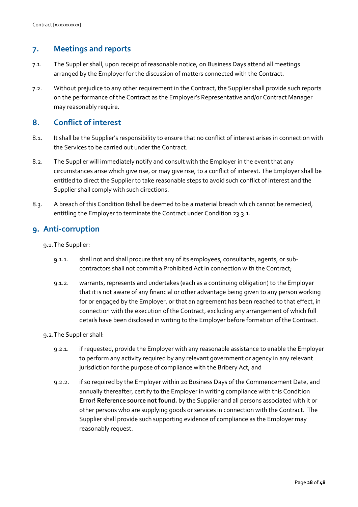# **7. Meetings and reports**

- 7.1. The Supplier shall, upon receipt of reasonable notice, on Business Days attend all meetings arranged by the Employer for the discussion of matters connected with the Contract.
- 7.2. Without prejudice to any other requirement in the Contract, the Supplier shall provide such reports on the performance of the Contract as the Employer's Representative and/or Contract Manager may reasonably require.

# <span id="page-29-0"></span>**8. Conflict of interest**

- 8.1. It shall be the Supplier's responsibility to ensure that no conflict of interest arises in connection with the Services to be carried out under the Contract.
- 8.2. The Supplier will immediately notify and consult with the Employer in the event that any circumstances arise which give rise, or may give rise, to a conflict of interest. The Employer shall be entitled to direct the Supplier to take reasonable steps to avoid such conflict of interest and the Supplier shall comply with such directions.
- 8.3. A breach of this Condition [8s](#page-29-0)hall be deemed to be a material breach which cannot be remedied, entitling the Employer to terminate the Contract under Condition 23.3.1.

# **9. Anti-corruption**

- 9.1.The Supplier:
	- 9.1.1. shall not and shall procure that any of its employees, consultants, agents, or subcontractors shall not commit a Prohibited Act in connection with the Contract;
	- 9.1.2. warrants, represents and undertakes (each as a continuing obligation) to the Employer that it is not aware of any financial or other advantage being given to any person working for or engaged by the Employer, or that an agreement has been reached to that effect, in connection with the execution of the Contract, excluding any arrangement of which full details have been disclosed in writing to the Employer before formation of the Contract.
- 9.2.The Supplier shall:
	- 9.2.1. if requested, provide the Employer with any reasonable assistance to enable the Employer to perform any activity required by any relevant government or agency in any relevant jurisdiction for the purpose of compliance with the Bribery Act; and
	- 9.2.2. if so required by the Employer within 20 Business Days of the Commencement Date, and annually thereafter, certify to the Employer in writing compliance with this Condition **Error! Reference source not found.** by the Supplier and all persons associated with it or other persons who are supplying goods or services in connection with the Contract. The Supplier shall provide such supporting evidence of compliance as the Employer may reasonably request.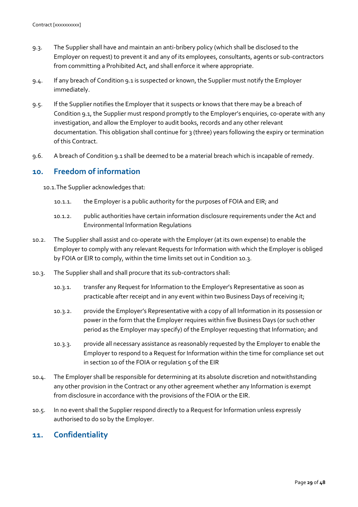- 9.3. The Supplier shall have and maintain an anti-bribery policy (which shall be disclosed to the Employer on request) to prevent it and any of its employees, consultants, agents or sub-contractors from committing a Prohibited Act, and shall enforce it where appropriate.
- 9.4. If any breach of Condition 9.1 is suspected or known, the Supplier must notify the Employer immediately.
- 9.5. If the Supplier notifies the Employer that it suspects or knows that there may be a breach of Condition 9.1, the Supplier must respond promptly to the Employer's enquiries, co-operate with any investigation, and allow the Employer to audit books, records and any other relevant documentation. This obligation shall continue for 3 (three) years following the expiry or termination of this Contract.
- 9.6. A breach of Condition 9.1 shall be deemed to be a material breach which is incapable of remedy.

#### <span id="page-30-0"></span>**10. Freedom of information**

10.1.The Supplier acknowledges that:

- 10.1.1. the Employer is a public authority for the purposes of FOIA and EIR; and
- 10.1.2. public authorities have certain information disclosure requirements under the Act and Environmental Information Regulations
- 10.2. The Supplier shall assist and co-operate with the Employer (at its own expense) to enable the Employer to comply with any relevant Requests for Information with which the Employer is obliged by FOIA or EIR to comply, within the time limits set out in Condition [10.3.](#page-30-1)
- <span id="page-30-1"></span>10.3. The Supplier shall and shall procure that its sub-contractors shall:
	- 10.3.1. transfer any Request for Information to the Employer's Representative as soon as practicable after receipt and in any event within two Business Days of receiving it;
	- 10.3.2. provide the Employer's Representative with a copy of all Information in its possession or power in the form that the Employer requires within five Business Days (or such other period as the Employer may specify) of the Employer requesting that Information; and
	- 10.3.3. provide all necessary assistance as reasonably requested by the Employer to enable the Employer to respond to a Request for Information within the time for compliance set out in section 10 of the FOIA or regulation 5 of the EIR
- 10.4. The Employer shall be responsible for determining at its absolute discretion and notwithstanding any other provision in the Contract or any other agreement whether any Information is exempt from disclosure in accordance with the provisions of the FOIA or the EIR.
- 10.5. In no event shall the Supplier respond directly to a Request for Information unless expressly authorised to do so by the Employer.

## <span id="page-30-2"></span>**11. Confidentiality**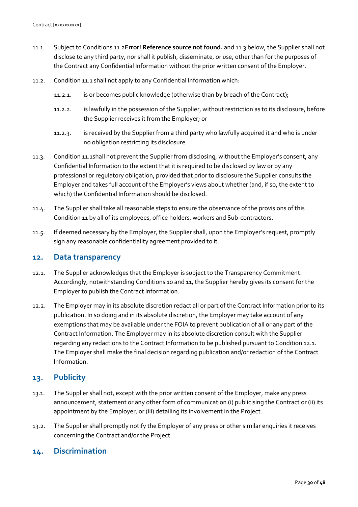- <span id="page-31-2"></span>11.1. Subject to Condition[s 11.2](#page-31-0)**[Error! Reference source not found.](#page-31-0)** an[d 11.3](#page-31-1) below, the Supplier shall not disclose to any third party, nor shall it publish, disseminate, or use, other than for the purposes of the Contract any Confidential Information without the prior written consent of the Employer.
- <span id="page-31-0"></span>11.2. Conditio[n 11.1](#page-31-2) shall not apply to any Confidential Information which:
	- 11.2.1. is or becomes public knowledge (otherwise than by breach of the Contract);
	- 11.2.2. is lawfully in the possession of the Supplier, without restriction as to its disclosure, before the Supplier receives it from the Employer; or
	- 11.2.3. is received by the Supplier from a third party who lawfully acquired it and who is under no obligation restricting its disclosure
- <span id="page-31-1"></span>11.3. Conditio[n 11.1](#page-31-2)shall not prevent the Supplier from disclosing, without the Employer's consent, any Confidential Information to the extent that it is required to be disclosed by law or by any professional or regulatory obligation, provided that prior to disclosure the Supplier consults the Employer and takes full account of the Employer's views about whether (and, if so, the extent to which) the Confidential Information should be disclosed.
- 11.4. The Supplier shall take all reasonable steps to ensure the observance of the provisions of this Conditio[n 11](#page-30-2) by all of its employees, office holders, workers and Sub-contractors.
- 11.5. If deemed necessary by the Employer, the Supplier shall, upon the Employer's request, promptly sign any reasonable confidentiality agreement provided to it.

#### **12. Data transparency**

- 12.1. The Supplier acknowledges that the Employer is subject to the Transparency Commitment. Accordingly, notwithstanding Conditions 10 and 11, the Supplier hereby gives its consent for the Employer to publish the Contract Information.
- 12.2. The Employer may in its absolute discretion redact all or part of the Contract Information prior to its publication. In so doing and in its absolute discretion, the Employer may take account of any exemptions that may be available under the FOIA to prevent publication of all or any part of the Contract Information. The Employer may in its absolute discretion consult with the Supplier regarding any redactions to the Contract Information to be published pursuant to Condition 12.1. The Employer shall make the final decision regarding publication and/or redaction of the Contract Information.

## **13. Publicity**

- 13.1. The Supplier shall not, except with the prior written consent of the Employer, make any press announcement, statement or any other form of communication (i) publicising the Contract or (ii) its appointment by the Employer, or (iii) detailing its involvement in the Project.
- 13.2. The Supplier shall promptly notify the Employer of any press or other similar enquiries it receives concerning the Contract and/or the Project.

## **14. Discrimination**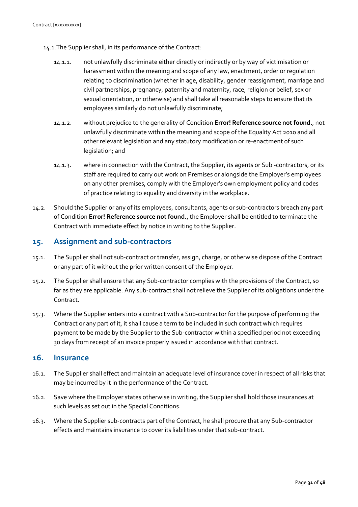- 14.1.The Supplier shall, in its performance of the Contract:
	- 14.1.1. not unlawfully discriminate either directly or indirectly or by way of victimisation or harassment within the meaning and scope of any law, enactment, order or regulation relating to discrimination (whether in age, disability, gender reassignment, marriage and civil partnerships, pregnancy, paternity and maternity, race, religion or belief, sex or sexual orientation, or otherwise) and shall take all reasonable steps to ensure that its employees similarly do not unlawfully discriminate;
	- 14.1.2. without prejudice to the generality of Condition **Error! Reference source not found.**, not unlawfully discriminate within the meaning and scope of the Equality Act 2010 and all other relevant legislation and any statutory modification or re-enactment of such legislation; and
	- 14.1.3. where in connection with the Contract, the Supplier, its agents or Sub -contractors, or its staff are required to carry out work on Premises or alongside the Employer's employees on any other premises, comply with the Employer's own employment policy and codes of practice relating to equality and diversity in the workplace.
- 14.2. Should the Supplier or any of its employees, consultants, agents or sub-contractors breach any part of Condition **Error! Reference source not found.**, the Employer shall be entitled to terminate the Contract with immediate effect by notice in writing to the Supplier.

## **15. Assignment and sub-contractors**

- 15.1. The Supplier shall not sub-contract or transfer, assign, charge, or otherwise dispose of the Contract or any part of it without the prior written consent of the Employer.
- 15.2. The Supplier shall ensure that any Sub-contractor complies with the provisions of the Contract, so far as they are applicable. Any sub-contract shall not relieve the Supplier of its obligations under the Contract.
- 15.3. Where the Supplier enters into a contract with a Sub-contractor for the purpose of performing the Contract or any part of it, it shall cause a term to be included in such contract which requires payment to be made by the Supplier to the Sub-contractor within a specified period not exceeding 30 days from receipt of an invoice properly issued in accordance with that contract.

#### **16. Insurance**

- 16.1. The Supplier shall effect and maintain an adequate level of insurance cover in respect of all risks that may be incurred by it in the performance of the Contract.
- 16.2. Save where the Employer states otherwise in writing, the Supplier shall hold those insurances at such levels as set out in the Special Conditions.
- 16.3. Where the Supplier sub-contracts part of the Contract, he shall procure that any Sub-contractor effects and maintains insurance to cover its liabilities under that sub-contract.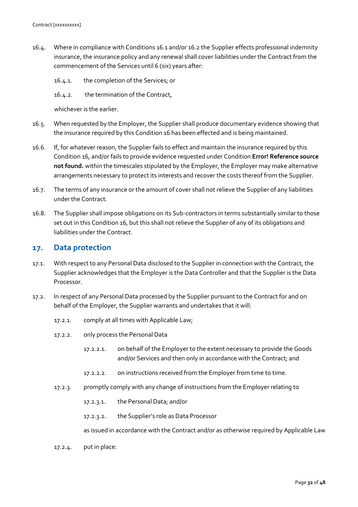- 16.4. Where in compliance with Conditions 16.1 and/or 16.2 the Supplier effects professional indemnity insurance, the insurance policy and any renewal shall cover liabilities under the Contract from the commencement of the Services until 6 (six) years after:
	- 16.4.1. the completion of the Services; or
	- 16.4.2. the termination of the Contract,

whichever is the earlier.

- 16.5. When requested by the Employer, the Supplier shall produce documentary evidence showing that the insurance required by this Condition 16 has been effected and is being maintained.
- 16.6. If, for whatever reason, the Supplier fails to effect and maintain the insurance required by this Condition 16, and/or fails to provide evidence requested under Condition **Error! Reference source not found.** within the timescales stipulated by the Employer, the Employer may make alternative arrangements necessary to protect its interests and recover the costs thereof from the Supplier.
- 16.7. The terms of any insurance or the amount of cover shall not relieve the Supplier of any liabilities under the Contract.
- 16.8. The Supplier shall impose obligations on its Sub-contractors in terms substantially similar to those set out in this Condition 16, but this shall not relieve the Supplier of any of its obligations and liabilities under the Contract.

#### **17. Data protection**

- 17.1. With respect to any Personal Data disclosed to the Supplier in connection with the Contract, the Supplier acknowledges that the Employer is the Data Controller and that the Supplier is the Data **Processor**
- 17.2. In respect of any Personal Data processed by the Supplier pursuant to the Contract for and on behalf of the Employer, the Supplier warrants and undertakes that it will:
	- 17.2.1. comply at all times with Applicable Law;
	- 17.2.2. only process the Personal Data
		- 17.2.2.1. on behalf of the Employer to the extent necessary to provide the Goods and/or Services and then only in accordance with the Contract; and
		- 17.2.2.2. on instructions received from the Employer from time to time.
	- 17.2.3. promptly comply with any change of instructions from the Employer relating to
		- 17.2.3.1. the Personal Data; and/or
		- 17.2.3.2. the Supplier's role as Data Processor

as issued in accordance with the Contract and/or as otherwise required by Applicable Law

<span id="page-33-0"></span>17.2.4. put in place: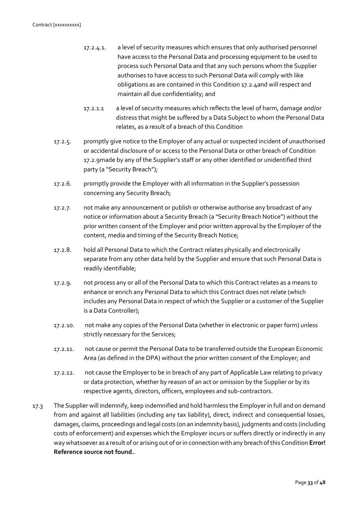- 17.2.4.1. a level of security measures which ensures that only authorised personnel have access to the Personal Data and processing equipment to be used to process such Personal Data and that any such persons whom the Supplier authorises to have access to such Personal Data will comply with like obligations as are contained in this Conditio[n 17.2.4a](#page-33-0)nd will respect and maintain all due confidentiality; and
- 17.2.1.1 a level of security measures which reflects the level of harm, damage and/or distress that might be suffered by a Data Subject to whom the Personal Data relates, as a result of a breach of this Condition
- 17.2.5. promptly give notice to the Employer of any actual or suspected incident of unauthorised or accidental disclosure of or access to the Personal Data or other breach of Condition [17.2.9](#page-34-0)made by any of the Supplier's staff or any other identified or unidentified third party (a "Security Breach");
- 17.2.6. promptly provide the Employer with all information in the Supplier's possession concerning any Security Breach;
- 17.2.7. not make any announcement or publish or otherwise authorise any broadcast of any notice or information about a Security Breach (a "Security Breach Notice") without the prior written consent of the Employer and prior written approval by the Employer of the content, media and timing of the Security Breach Notice;
- 17.2.8. hold all Personal Data to which the Contract relates physically and electronically separate from any other data held by the Supplier and ensure that such Personal Data is readily identifiable;
- <span id="page-34-0"></span>17.2.9. not process any or all of the Personal Data to which this Contract relates as a means to enhance or enrich any Personal Data to which this Contract does not relate (which includes any Personal Data in respect of which the Supplier or a customer of the Supplier is a Data Controller);
- 17.2.10. not make any copies of the Personal Data (whether in electronic or paper form) unless strictly necessary for the Services;
- 17.2.11. not cause or permit the Personal Data to be transferred outside the European Economic Area (as defined in the DPA) without the prior written consent of the Employer; and
- 17.2.12. not cause the Employer to be in breach of any part of Applicable Law relating to privacy or data protection, whether by reason of an act or omission by the Supplier or by its respective agents, directors, officers, employees and sub-contractors.
- 17.3 The Supplier will indemnify, keep indemnified and hold harmless the Employer in full and on demand from and against all liabilities (including any tax liability), direct, indirect and consequential losses, damages, claims, proceedings and legal costs (on an indemnity basis), judgments and costs (including costs of enforcement) and expenses which the Employer incurs or suffers directly or indirectly in any way whatsoever as a result of or arising out of or in connection with any breach of this Condition **Error! Reference source not found.**.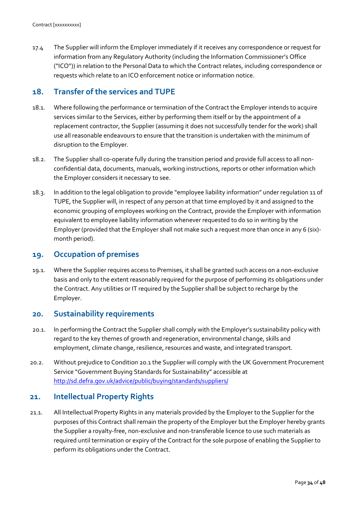17.4 The Supplier will inform the Employer immediately if it receives any correspondence or request for information from any Regulatory Authority (including the Information Commissioner's Office ("ICO")) in relation to the Personal Data to which the Contract relates, including correspondence or requests which relate to an ICO enforcement notice or information notice.

## **18. Transfer of the services and TUPE**

- 18.1. Where following the performance or termination of the Contract the Employer intends to acquire services similar to the Services, either by performing them itself or by the appointment of a replacement contractor, the Supplier (assuming it does not successfully tender for the work) shall use all reasonable endeavours to ensure that the transition is undertaken with the minimum of disruption to the Employer.
- 18.2. The Supplier shall co-operate fully during the transition period and provide full access to all nonconfidential data, documents, manuals, working instructions, reports or other information which the Employer considers it necessary to see.
- 18.3. In addition to the legal obligation to provide "employee liability information" under regulation 11 of TUPE, the Supplier will, in respect of any person at that time employed by it and assigned to the economic grouping of employees working on the Contract, provide the Employer with information equivalent to employee liability information whenever requested to do so in writing by the Employer (provided that the Employer shall not make such a request more than once in any 6 (six) month period).

## **19. Occupation of premises**

19.1. Where the Supplier requires access to Premises, it shall be granted such access on a non-exclusive basis and only to the extent reasonably required for the purpose of performing its obligations under the Contract. Any utilities or IT required by the Supplier shall be subject to recharge by the Employer.

## **20. Sustainability requirements**

- <span id="page-35-0"></span>20.1. In performing the Contract the Supplier shall comply with the Employer's sustainability policy with regard to the key themes of growth and regeneration, environmental change, skills and employment, climate change, resilience, resources and waste, and integrated transport.
- 20.2. Without prejudice to Condition [20.1](#page-35-0) the Supplier will comply with the UK Government Procurement Service "Government Buying Standards for Sustainability" accessible at <http://sd.defra.gov.uk/advice/public/buying/standards/suppliers/>

## **21. Intellectual Property Rights**

21.1. All Intellectual Property Rights in any materials provided by the Employer to the Supplier for the purposes of this Contract shall remain the property of the Employer but the Employer hereby grants the Supplier a royalty-free, non-exclusive and non-transferable licence to use such materials as required until termination or expiry of the Contract for the sole purpose of enabling the Supplier to perform its obligations under the Contract.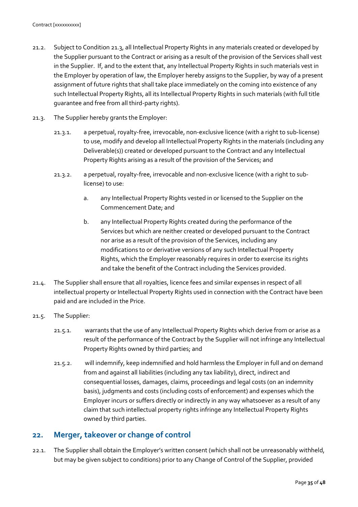- 21.2. Subject to Condition 21.3, all Intellectual Property Rights in any materials created or developed by the Supplier pursuant to the Contract or arising as a result of the provision of the Services shall vest in the Supplier. If, and to the extent that, any Intellectual Property Rights in such materials vest in the Employer by operation of law, the Employer hereby assigns to the Supplier, by way of a present assignment of future rights that shall take place immediately on the coming into existence of any such Intellectual Property Rights, all its Intellectual Property Rights in such materials (with full title guarantee and free from all third-party rights).
- 21.3. The Supplier hereby grants the Employer:
	- 21.3.1. a perpetual, royalty-free, irrevocable, non-exclusive licence (with a right to sub-license) to use, modify and develop all Intellectual Property Rights in the materials (including any Deliverable(s)) created or developed pursuant to the Contract and any Intellectual Property Rights arising as a result of the provision of the Services; and
	- 21.3.2. a perpetual, royalty-free, irrevocable and non-exclusive licence (with a right to sublicense) to use:
		- a. any Intellectual Property Rights vested in or licensed to the Supplier on the Commencement Date; and
		- b. any Intellectual Property Rights created during the performance of the Services but which are neither created or developed pursuant to the Contract nor arise as a result of the provision of the Services, including any modifications to or derivative versions of any such Intellectual Property Rights, which the Employer reasonably requires in order to exercise its rights and take the benefit of the Contract including the Services provided.
- 21.4. The Supplier shall ensure that all royalties, licence fees and similar expenses in respect of all intellectual property or Intellectual Property Rights used in connection with the Contract have been paid and are included in the Price.
- 21.5. The Supplier:
	- 21.5.1. warrants that the use of any Intellectual Property Rights which derive from or arise as a result of the performance of the Contract by the Supplier will not infringe any Intellectual Property Rights owned by third parties; and
	- 21.5.2. will indemnify, keep indemnified and hold harmless the Employer in full and on demand from and against all liabilities (including any tax liability), direct, indirect and consequential losses, damages, claims, proceedings and legal costs (on an indemnity basis), judgments and costs (including costs of enforcement) and expenses which the Employer incurs or suffers directly or indirectly in any way whatsoever as a result of any claim that such intellectual property rights infringe any Intellectual Property Rights owned by third parties.

#### **22. Merger, takeover or change of control**

<span id="page-36-0"></span>22.1. The Supplier shall obtain the Employer's written consent (which shall not be unreasonably withheld, but may be given subject to conditions) prior to any Change of Control of the Supplier, provided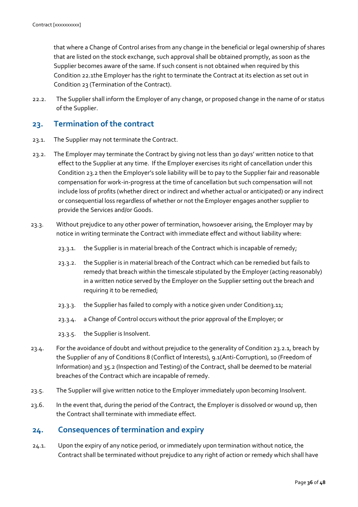that where a Change of Control arises from any change in the beneficial or legal ownership of shares that are listed on the stock exchange, such approval shall be obtained promptly, as soon as the Supplier becomes aware of the same. If such consent is not obtained when required by this Conditio[n 22.1t](#page-36-0)he Employer has the right to terminate the Contract at its election as set out in Condition 23 (Termination of the Contract).

22.2. The Supplier shall inform the Employer of any change, or proposed change in the name of or status of the Supplier.

#### **23. Termination of the contract**

- 23.1. The Supplier may not terminate the Contract.
- <span id="page-37-0"></span>23.2. The Employer may terminate the Contract by giving not less than 30 days' written notice to that effect to the Supplier at any time. If the Employer exercises its right of cancellation under this Conditio[n 23.2](#page-37-0) then the Employer's sole liability will be to pay to the Supplier fair and reasonable compensation for work-in-progress at the time of cancellation but such compensation will not include loss of profits (whether direct or indirect and whether actual or anticipated) or any indirect or consequential loss regardless of whether or not the Employer engages another supplier to provide the Services and/or Goods.
- <span id="page-37-1"></span>23.3. Without prejudice to any other power of termination, howsoever arising, the Employer may by notice in writing terminate the Contract with immediate effect and without liability where:
	- 23.3.1. the Supplier is in material breach of the Contract which is incapable of remedy;
	- 23.3.2. the Supplier is in material breach of the Contract which can be remedied but fails to remedy that breach within the timescale stipulated by the Employer (acting reasonably) in a written notice served by the Employer on the Supplier setting out the breach and requiring it to be remedied;
	- 23.3.3. the Supplier has failed to comply with a notice given under Conditio[n3.11;](#page-25-0)
	- 23.3.4. a Change of Control occurs without the prior approval of the Employer; or
	- 23.3.5. the Supplier is Insolvent.
- 23.4. For the avoidance of doubt and without prejudice to the generality of Condition 23.2.1, breach by the Supplier of any of Conditions 8 (Conflict of Interests), 9.1(Anti-Corruption), 10 (Freedom of Information) and 35.2 (Inspection and Testing) of the Contract, shall be deemed to be material breaches of the Contract which are incapable of remedy.
- 23.5. The Supplier will give written notice to the Employer immediately upon becoming Insolvent.
- 23.6. In the event that, during the period of the Contract, the Employer is dissolved or wound up, then the Contract shall terminate with immediate effect.

## **24. Consequences of termination and expiry**

24.1. Upon the expiry of any notice period, or immediately upon termination without notice, the Contract shall be terminated without prejudice to any right of action or remedy which shall have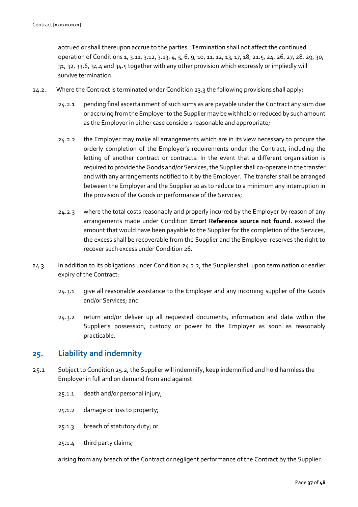accrued or shall thereupon accrue to the parties. Termination shall not affect the continued operation of Conditions [1,](#page-16-0) 3.11, 3.12, 3.13, 4, 5, 6, 9, 10, 11, 12, 13, 17, 18, 21.5, 24, 26, 27, 28, 29, 30, 31, 32, 33.6, 34.4 and 34.5 together with any other provision which expressly or impliedly will survive termination.

- 24.2. Where the Contract is terminated under Conditio[n 23.3](#page-37-1) the following provisions shall apply:
	- 24.2.1 pending final ascertainment of such sums as are payable under the Contract any sum due or accruing from the Employer to the Supplier may be withheld or reduced by such amount as the Employer in either case considers reasonable and appropriate;
	- 24.2.2 the Employer may make all arrangements which are in its view necessary to procure the orderly completion of the Employer's requirements under the Contract, including the letting of another contract or contracts. In the event that a different organisation is required to provide the Goods and/or Services, the Supplier shall co-operate in the transfer and with any arrangements notified to it by the Employer. The transfer shall be arranged between the Employer and the Supplier so as to reduce to a minimum any interruption in the provision of the Goods or performance of the Services;
	- 24.2.3 where the total costs reasonably and properly incurred by the Employer by reason of any arrangements made under Condition **Error! Reference source not found.** exceed the amount that would have been payable to the Supplier for the completion of the Services, the excess shall be recoverable from the Supplier and the Employer reserves the right to recover such excess under Condition 26.
- 24.3 In addition to its obligations under Condition 24.2.2, the Supplier shall upon termination or earlier expiry of the Contract:
	- 24.3.1 give all reasonable assistance to the Employer and any incoming supplier of the Goods and/or Services; and
	- 24.3.2 return and/or deliver up all requested documents, information and data within the Supplier's possession, custody or power to the Employer as soon as reasonably practicable.

## **25. Liability and indemnity**

- 25.1 Subject to Condition 25.2, the Supplier will indemnify, keep indemnified and hold harmless the Employer in full and on demand from and against:
	- 25.1.1 death and/or personal injury;
	- 25.1.2 damage or loss to property;
	- 25.1.3 breach of statutory duty; or
	- 25.1.4 third party claims;

arising from any breach of the Contract or negligent performance of the Contract by the Supplier.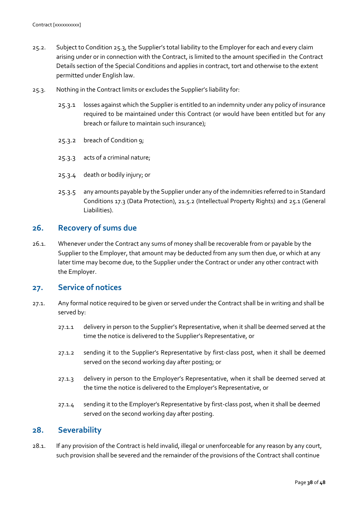- 25.2. Subject to Condition 25.3, the Supplier's total liability to the Employer for each and every claim arising under or in connection with the Contract, is limited to the amount specified in the Contract Details section of the Special Conditions and applies in contract, tort and otherwise to the extent permitted under English law.
- 25.3. Nothing in the Contract limits or excludes the Supplier's liability for:
	- 25.3.1 losses against which the Supplier is entitled to an indemnity under any policy of insurance required to be maintained under this Contract (or would have been entitled but for any breach or failure to maintain such insurance);
	- 25.3.2 breach of Condition 9;
	- 25.3.3 acts of a criminal nature;
	- 25.3.4 death or bodily injury; or
	- 25.3.5 any amounts payable by the Supplier under any of the indemnities referred to in Standard Conditions 17.3 (Data Protection), 21.5.2 (Intellectual Property Rights) and 25.1 (General Liabilities).

#### **26. Recovery of sums due**

26.1. Whenever under the Contract any sums of money shall be recoverable from or payable by the Supplier to the Employer, that amount may be deducted from any sum then due, or which at any later time may become due, to the Supplier under the Contract or under any other contract with the Employer.

# **27. Service of notices**

- 27.1. Any formal notice required to be given or served under the Contract shall be in writing and shall be served by:
	- 27.1.1 delivery in person to the Supplier's Representative, when it shall be deemed served at the time the notice is delivered to the Supplier's Representative, or
	- 27.1.2 sending it to the Supplier's Representative by first-class post, when it shall be deemed served on the second working day after posting; or
	- 27.1.3 delivery in person to the Employer's Representative, when it shall be deemed served at the time the notice is delivered to the Employer's Representative, or
	- 27.1.4 sending it to the Employer's Representative by first-class post, when it shall be deemed served on the second working day after posting.

#### **28. Severability**

28.1. If any provision of the Contract is held invalid, illegal or unenforceable for any reason by any court, such provision shall be severed and the remainder of the provisions of the Contract shall continue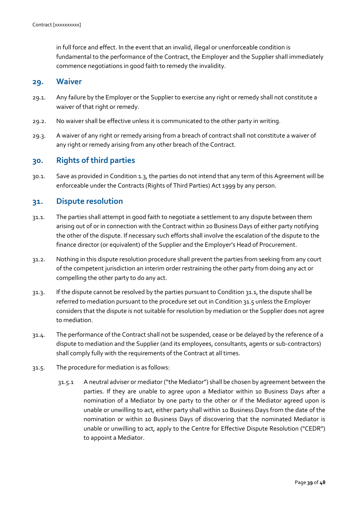in full force and effect. In the event that an invalid, illegal or unenforceable condition is fundamental to the performance of the Contract, the Employer and the Supplier shall immediately commence negotiations in good faith to remedy the invalidity.

#### **29. Waiver**

- 29.1. Any failure by the Employer or the Supplier to exercise any right or remedy shall not constitute a waiver of that right or remedy.
- 29.2. No waiver shall be effective unless it is communicated to the other party in writing.
- 29.3. A waiver of any right or remedy arising from a breach of contract shall not constitute a waiver of any right or remedy arising from any other breach of the Contract.

## **30. Rights of third parties**

30.1. Save as provided in Conditio[n 1.3,](#page-22-2) the parties do not intend that any term of this Agreement will be enforceable under the Contracts (Rights of Third Parties) Act 1999 by any person.

#### **31. Dispute resolution**

- 31.1. The parties shall attempt in good faith to negotiate a settlement to any dispute between them arising out of or in connection with the Contract within 20 Business Days of either party notifying the other of the dispute. If necessary such efforts shall involve the escalation of the dispute to the finance director (or equivalent) of the Supplier and the Employer's Head of Procurement.
- 31.2. Nothing in this dispute resolution procedure shall prevent the parties from seeking from any court of the competent jurisdiction an interim order restraining the other party from doing any act or compelling the other party to do any act.
- 31.3. If the dispute cannot be resolved by the parties pursuant to Condition 31.1, the dispute shall be referred to mediation pursuant to the procedure set out in Condition 31.5 unless the Employer considers that the dispute is not suitable for resolution by mediation or the Supplier does not agree to mediation.
- 31.4. The performance of the Contract shall not be suspended, cease or be delayed by the reference of a dispute to mediation and the Supplier (and its employees, consultants, agents or sub-contractors) shall comply fully with the requirements of the Contract at all times.
- 31.5. The procedure for mediation is as follows:
	- 31.5.1 A neutral adviser or mediator ("the Mediator") shall be chosen by agreement between the parties. If they are unable to agree upon a Mediator within 10 Business Days after a nomination of a Mediator by one party to the other or if the Mediator agreed upon is unable or unwilling to act, either party shall within 10 Business Days from the date of the nomination or within 10 Business Days of discovering that the nominated Mediator is unable or unwilling to act, apply to the Centre for Effective Dispute Resolution ("CEDR") to appoint a Mediator.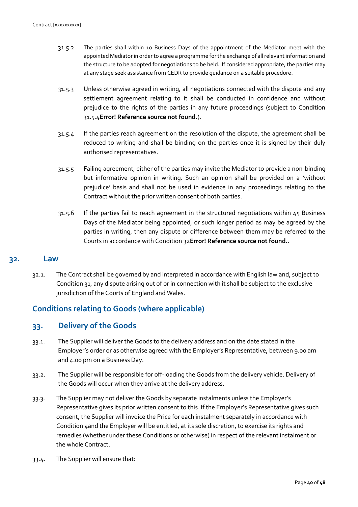- 31.5.2 The parties shall within 10 Business Days of the appointment of the Mediator meet with the appointed Mediator in order to agree a programme for the exchange of all relevant information and the structure to be adopted for negotiations to be held. If considered appropriate, the parties may at any stage seek assistance from CEDR to provide guidance on a suitable procedure.
- 31.5.3 Unless otherwise agreed in writing, all negotiations connected with the dispute and any settlement agreement relating to it shall be conducted in confidence and without prejudice to the rights of the parties in any future proceedings (subject to Condition [31.5.4](#page-41-0)**[Error! Reference source not found.](#page-41-0)**).
- <span id="page-41-0"></span>31.5.4 If the parties reach agreement on the resolution of the dispute, the agreement shall be reduced to writing and shall be binding on the parties once it is signed by their duly authorised representatives.
- 31.5.5 Failing agreement, either of the parties may invite the Mediator to provide a non-binding but informative opinion in writing. Such an opinion shall be provided on a 'without prejudice' basis and shall not be used in evidence in any proceedings relating to the Contract without the prior written consent of both parties.
- 31.5.6 If the parties fail to reach agreement in the structured negotiations within 45 Business Days of the Mediator being appointed, or such longer period as may be agreed by the parties in writing, then any dispute or difference between them may be referred to the Courts in accordance with Condition 32**Error! Reference source not found.**.

#### **32. Law**

32.1. The Contract shall be governed by and interpreted in accordance with English law and, subject to Condition 31, any dispute arising out of or in connection with it shall be subject to the exclusive jurisdiction of the Courts of England and Wales.

## **Conditions relating to Goods (where applicable)**

## **33. Delivery of the Goods**

- 33.1. The Supplier will deliver the Goods to the delivery address and on the date stated in the Employer's order or as otherwise agreed with the Employer's Representative, between 9.00 am and 4.00 pm on a Business Day.
- 33.2. The Supplier will be responsible for off-loading the Goods from the delivery vehicle. Delivery of the Goods will occur when they arrive at the delivery address.
- 33.3. The Supplier may not deliver the Goods by separate instalments unless the Employer's Representative gives its prior written consent to this. If the Employer's Representative gives such consent, the Supplier will invoice the Price for each instalment separately in accordance with Condition 4and the Employer will be entitled, at its sole discretion, to exercise its rights and remedies (whether under these Conditions or otherwise) in respect of the relevant instalment or the whole Contract.
- 33.4. The Supplier will ensure that: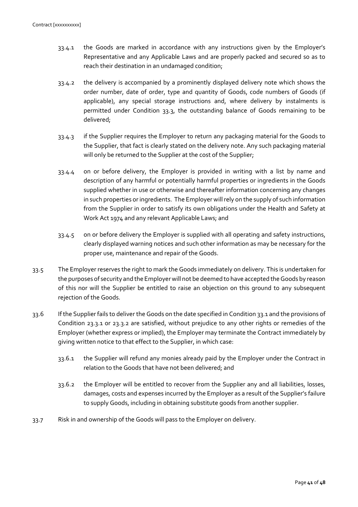- 33.4.1 the Goods are marked in accordance with any instructions given by the Employer's Representative and any Applicable Laws and are properly packed and secured so as to reach their destination in an undamaged condition;
- 33.4.2 the delivery is accompanied by a prominently displayed delivery note which shows the order number, date of order, type and quantity of Goods, code numbers of Goods (if applicable), any special storage instructions and, where delivery by instalments is permitted under Condition 33.3, the outstanding balance of Goods remaining to be delivered;
- 33.4.3 if the Supplier requires the Employer to return any packaging material for the Goods to the Supplier, that fact is clearly stated on the delivery note. Any such packaging material will only be returned to the Supplier at the cost of the Supplier;
- 33.4.4 on or before delivery, the Employer is provided in writing with a list by name and description of any harmful or potentially harmful properties or ingredients in the Goods supplied whether in use or otherwise and thereafter information concerning any changes in such properties or ingredients. The Employer will rely on the supply of such information from the Supplier in order to satisfy its own obligations under the Health and Safety at Work Act 1974 and any relevant Applicable Laws; and
- 33.4.5 on or before delivery the Employer is supplied with all operating and safety instructions, clearly displayed warning notices and such other information as may be necessary for the proper use, maintenance and repair of the Goods.
- 33.5 The Employer reserves the right to mark the Goods immediately on delivery. This is undertaken for the purposes of security and the Employer will not be deemed to have accepted the Goods by reason of this nor will the Supplier be entitled to raise an objection on this ground to any subsequent rejection of the Goods.
- 33.6 If the Supplier fails to deliver the Goods on the date specified in Condition 33.1 and the provisions of Condition 23.3.1 or 23.3.2 are satisfied, without prejudice to any other rights or remedies of the Employer (whether express or implied), the Employer may terminate the Contract immediately by giving written notice to that effect to the Supplier, in which case:
	- 33.6.1 the Supplier will refund any monies already paid by the Employer under the Contract in relation to the Goods that have not been delivered; and
	- 33.6.2 the Employer will be entitled to recover from the Supplier any and all liabilities, losses, damages, costs and expenses incurred by the Employer as a result of the Supplier's failure to supply Goods, including in obtaining substitute goods from another supplier.
- 33.7 Risk in and ownership of the Goods will pass to the Employer on delivery.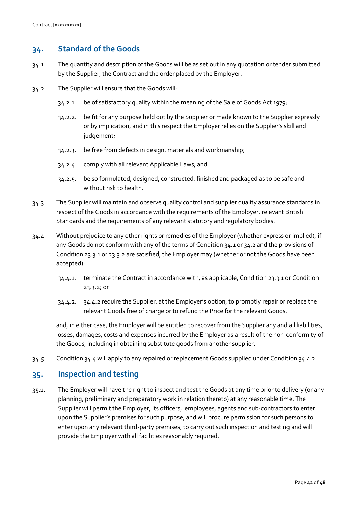# **34. Standard of the Goods**

- 34.1. The quantity and description of the Goods will be as set out in any quotation or tender submitted by the Supplier, the Contract and the order placed by the Employer.
- 34.2. The Supplier will ensure that the Goods will:
	- 34.2.1. be of satisfactory quality within the meaning of the Sale of Goods Act 1979;
	- 34.2.2. be fit for any purpose held out by the Supplier or made known to the Supplier expressly or by implication, and in this respect the Employer relies on the Supplier's skill and judgement;
	- 34.2.3. be free from defects in design, materials and workmanship;
	- 34.2.4. comply with all relevant Applicable Laws; and
	- 34.2.5. be so formulated, designed, constructed, finished and packaged as to be safe and without risk to health.
- 34.3. The Supplier will maintain and observe quality control and supplier quality assurance standards in respect of the Goods in accordance with the requirements of the Employer, relevant British Standards and the requirements of any relevant statutory and regulatory bodies.
- 34.4. Without prejudice to any other rights or remedies of the Employer (whether express or implied), if any Goods do not conform with any of the terms of Condition 34.1 or 34.2 and the provisions of Condition 23.3.1 or 23.3.2 are satisfied, the Employer may (whether or not the Goods have been accepted):
	- 34.4.1. terminate the Contract in accordance with, as applicable, Condition 23.3.1 or Condition 23.3.2; or
	- 34.4.2. 34.4.2 require the Supplier, at the Employer's option, to promptly repair or replace the relevant Goods free of charge or to refund the Price for the relevant Goods,

and, in either case, the Employer will be entitled to recover from the Supplier any and all liabilities, losses, damages, costs and expenses incurred by the Employer as a result of the non-conformity of the Goods, including in obtaining substitute goods from another supplier.

34.5. Condition 34.4 will apply to any repaired or replacement Goods supplied under Condition 34.4.2.

#### **35. Inspection and testing**

35.1. The Employer will have the right to inspect and test the Goods at any time prior to delivery (or any planning, preliminary and preparatory work in relation thereto) at any reasonable time. The Supplier will permit the Employer, its officers, employees, agents and sub-contractors to enter upon the Supplier's premises for such purpose, and will procure permission for such persons to enter upon any relevant third-party premises, to carry out such inspection and testing and will provide the Employer with all facilities reasonably required.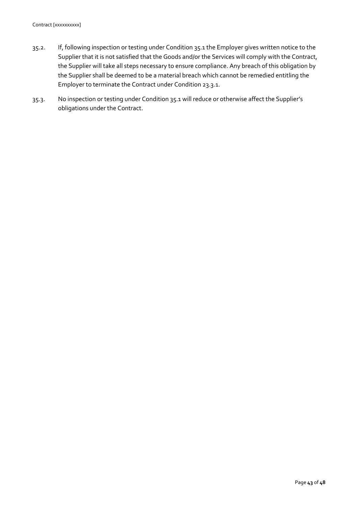- 35.2. If, following inspection or testing under Condition 35.1 the Employer gives written notice to the Supplier that it is not satisfied that the Goods and/or the Services will comply with the Contract, the Supplier will take all steps necessary to ensure compliance. Any breach of this obligation by the Supplier shall be deemed to be a material breach which cannot be remedied entitling the Employer to terminate the Contract under Condition 23.3.1.
- 35.3. No inspection or testing under Condition 35.1 will reduce or otherwise affect the Supplier's obligations under the Contract.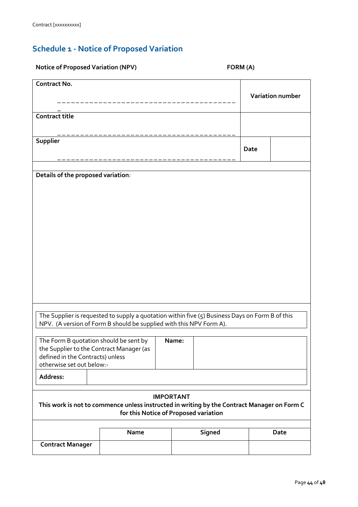# **Schedule 1 - Notice of Proposed Variation**

| <b>Notice of Proposed Variation (NPV)</b>                                                                                                                              |      |  | FORM (A) |        |             |                         |
|------------------------------------------------------------------------------------------------------------------------------------------------------------------------|------|--|----------|--------|-------------|-------------------------|
| <b>Contract No.</b>                                                                                                                                                    |      |  |          |        |             | <b>Variation number</b> |
| <b>Contract title</b>                                                                                                                                                  |      |  |          |        |             |                         |
| Supplier                                                                                                                                                               |      |  |          |        | <b>Date</b> |                         |
|                                                                                                                                                                        |      |  |          |        |             |                         |
| Details of the proposed variation:                                                                                                                                     |      |  |          |        |             |                         |
| The Supplier is requested to supply a quotation within five (5) Business Days on Form B of this<br>NPV. (A version of Form B should be supplied with this NPV Form A). |      |  |          |        |             |                         |
| The Form B quotation should be sent by<br>the Supplier to the Contract Manager (as<br>defined in the Contracts) unless<br>otherwise set out below:-                    |      |  | Name:    |        |             |                         |
| Address:                                                                                                                                                               |      |  |          |        |             |                         |
| <b>IMPORTANT</b><br>This work is not to commence unless instructed in writing by the Contract Manager on Form C<br>for this Notice of Proposed variation               |      |  |          |        |             |                         |
|                                                                                                                                                                        |      |  |          |        |             |                         |
|                                                                                                                                                                        | Name |  |          | Signed |             | Date                    |
| <b>Contract Manager</b>                                                                                                                                                |      |  |          |        |             |                         |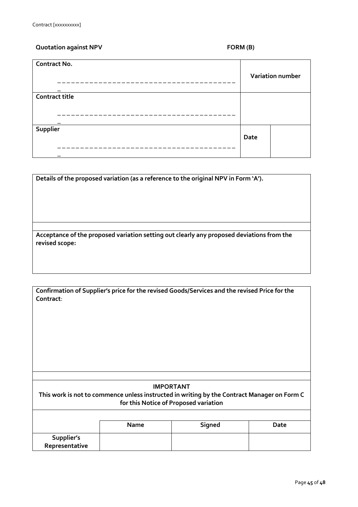#### **Quotation against NPV FORM (B)**

| <b>Contract No.</b>   |      | Variation number |
|-----------------------|------|------------------|
| <b>Contract title</b> |      |                  |
|                       |      |                  |
|                       |      |                  |
| Supplier              |      |                  |
|                       | Date |                  |
|                       |      |                  |
|                       |      |                  |

**Details of the proposed variation (as a reference to the original NPV in Form 'A').**

**Acceptance of the proposed variation setting out clearly any proposed deviations from the revised scope:**

|                | Confirmation of Supplier's price for the revised Goods/Services and the revised Price for the |                                       |      |
|----------------|-----------------------------------------------------------------------------------------------|---------------------------------------|------|
| Contract:      |                                                                                               |                                       |      |
|                |                                                                                               |                                       |      |
|                |                                                                                               |                                       |      |
|                |                                                                                               |                                       |      |
|                |                                                                                               |                                       |      |
|                |                                                                                               |                                       |      |
|                |                                                                                               |                                       |      |
|                |                                                                                               |                                       |      |
|                |                                                                                               |                                       |      |
|                |                                                                                               |                                       |      |
|                |                                                                                               |                                       |      |
|                |                                                                                               | <b>IMPORTANT</b>                      |      |
|                | This work is not to commence unless instructed in writing by the Contract Manager on Form C   |                                       |      |
|                |                                                                                               | for this Notice of Proposed variation |      |
|                |                                                                                               |                                       |      |
|                | <b>Name</b>                                                                                   | Signed                                | Date |
|                |                                                                                               |                                       |      |
| Supplier's     |                                                                                               |                                       |      |
| Representative |                                                                                               |                                       |      |